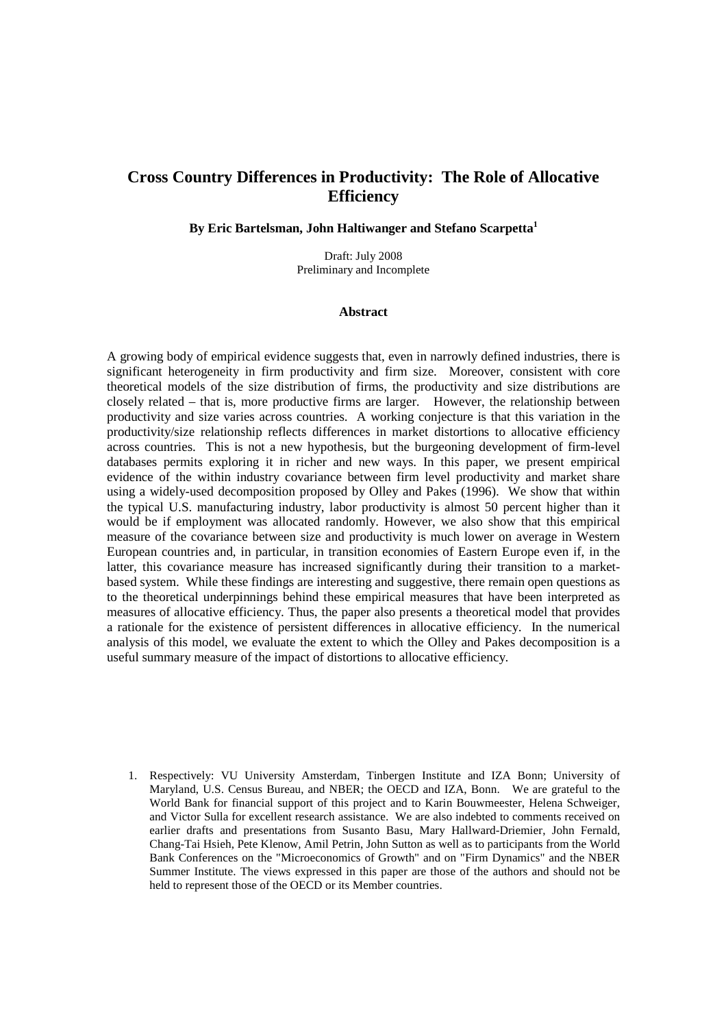# **Cross Country Differences in Productivity: The Role of Allocative Efficiency**

**By Eric Bartelsman, John Haltiwanger and Stefano Scarpetta<sup>1</sup>**

Draft: July 2008 Preliminary and Incomplete

#### **Abstract**

A growing body of empirical evidence suggests that, even in narrowly defined industries, there is significant heterogeneity in firm productivity and firm size. Moreover, consistent with core theoretical models of the size distribution of firms, the productivity and size distributions are closely related – that is, more productive firms are larger. However, the relationship between productivity and size varies across countries. A working conjecture is that this variation in the productivity/size relationship reflects differences in market distortions to allocative efficiency across countries. This is not a new hypothesis, but the burgeoning development of firm-level databases permits exploring it in richer and new ways. In this paper, we present empirical evidence of the within industry covariance between firm level productivity and market share using a widely-used decomposition proposed by Olley and Pakes (1996). We show that within the typical U.S. manufacturing industry, labor productivity is almost 50 percent higher than it would be if employment was allocated randomly. However, we also show that this empirical measure of the covariance between size and productivity is much lower on average in Western European countries and, in particular, in transition economies of Eastern Europe even if, in the latter, this covariance measure has increased significantly during their transition to a marketbased system. While these findings are interesting and suggestive, there remain open questions as to the theoretical underpinnings behind these empirical measures that have been interpreted as measures of allocative efficiency. Thus, the paper also presents a theoretical model that provides a rationale for the existence of persistent differences in allocative efficiency. In the numerical analysis of this model, we evaluate the extent to which the Olley and Pakes decomposition is a useful summary measure of the impact of distortions to allocative efficiency.

1. Respectively: VU University Amsterdam, Tinbergen Institute and IZA Bonn; University of Maryland, U.S. Census Bureau, and NBER; the OECD and IZA, Bonn. We are grateful to the World Bank for financial support of this project and to Karin Bouwmeester, Helena Schweiger, and Victor Sulla for excellent research assistance. We are also indebted to comments received on earlier drafts and presentations from Susanto Basu, Mary Hallward-Driemier, John Fernald, Chang-Tai Hsieh, Pete Klenow, Amil Petrin, John Sutton as well as to participants from the World Bank Conferences on the "Microeconomics of Growth" and on "Firm Dynamics" and the NBER Summer Institute. The views expressed in this paper are those of the authors and should not be held to represent those of the OECD or its Member countries.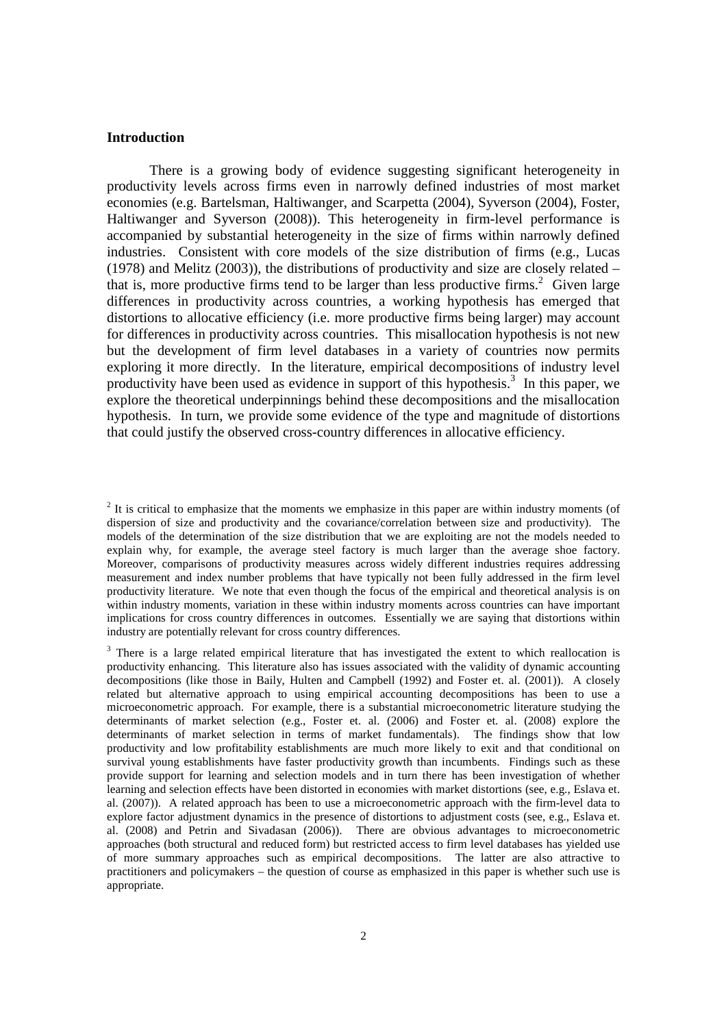#### **Introduction**

There is a growing body of evidence suggesting significant heterogeneity in productivity levels across firms even in narrowly defined industries of most market economies (e.g. Bartelsman, Haltiwanger, and Scarpetta (2004), Syverson (2004), Foster, Haltiwanger and Syverson (2008)). This heterogeneity in firm-level performance is accompanied by substantial heterogeneity in the size of firms within narrowly defined industries. Consistent with core models of the size distribution of firms (e.g., Lucas (1978) and Melitz (2003)), the distributions of productivity and size are closely related – that is, more productive firms tend to be larger than less productive firms.<sup>2</sup> Given large differences in productivity across countries, a working hypothesis has emerged that distortions to allocative efficiency (i.e. more productive firms being larger) may account for differences in productivity across countries. This misallocation hypothesis is not new but the development of firm level databases in a variety of countries now permits exploring it more directly. In the literature, empirical decompositions of industry level productivity have been used as evidence in support of this hypothesis.<sup>3</sup> In this paper, we explore the theoretical underpinnings behind these decompositions and the misallocation hypothesis. In turn, we provide some evidence of the type and magnitude of distortions that could justify the observed cross-country differences in allocative efficiency.

 $2$  It is critical to emphasize that the moments we emphasize in this paper are within industry moments (of dispersion of size and productivity and the covariance/correlation between size and productivity). The models of the determination of the size distribution that we are exploiting are not the models needed to explain why, for example, the average steel factory is much larger than the average shoe factory. Moreover, comparisons of productivity measures across widely different industries requires addressing measurement and index number problems that have typically not been fully addressed in the firm level productivity literature. We note that even though the focus of the empirical and theoretical analysis is on within industry moments, variation in these within industry moments across countries can have important implications for cross country differences in outcomes. Essentially we are saying that distortions within industry are potentially relevant for cross country differences.

 $3$  There is a large related empirical literature that has investigated the extent to which reallocation is productivity enhancing. This literature also has issues associated with the validity of dynamic accounting decompositions (like those in Baily, Hulten and Campbell (1992) and Foster et. al. (2001)). A closely related but alternative approach to using empirical accounting decompositions has been to use a microeconometric approach. For example, there is a substantial microeconometric literature studying the determinants of market selection (e.g., Foster et. al. (2006) and Foster et. al. (2008) explore the determinants of market selection in terms of market fundamentals). The findings show that low productivity and low profitability establishments are much more likely to exit and that conditional on survival young establishments have faster productivity growth than incumbents. Findings such as these provide support for learning and selection models and in turn there has been investigation of whether learning and selection effects have been distorted in economies with market distortions (see, e.g., Eslava et. al. (2007)). A related approach has been to use a microeconometric approach with the firm-level data to explore factor adjustment dynamics in the presence of distortions to adjustment costs (see, e.g., Eslava et. al. (2008) and Petrin and Sivadasan (2006)). There are obvious advantages to microeconometric approaches (both structural and reduced form) but restricted access to firm level databases has yielded use of more summary approaches such as empirical decompositions. The latter are also attractive to practitioners and policymakers – the question of course as emphasized in this paper is whether such use is appropriate.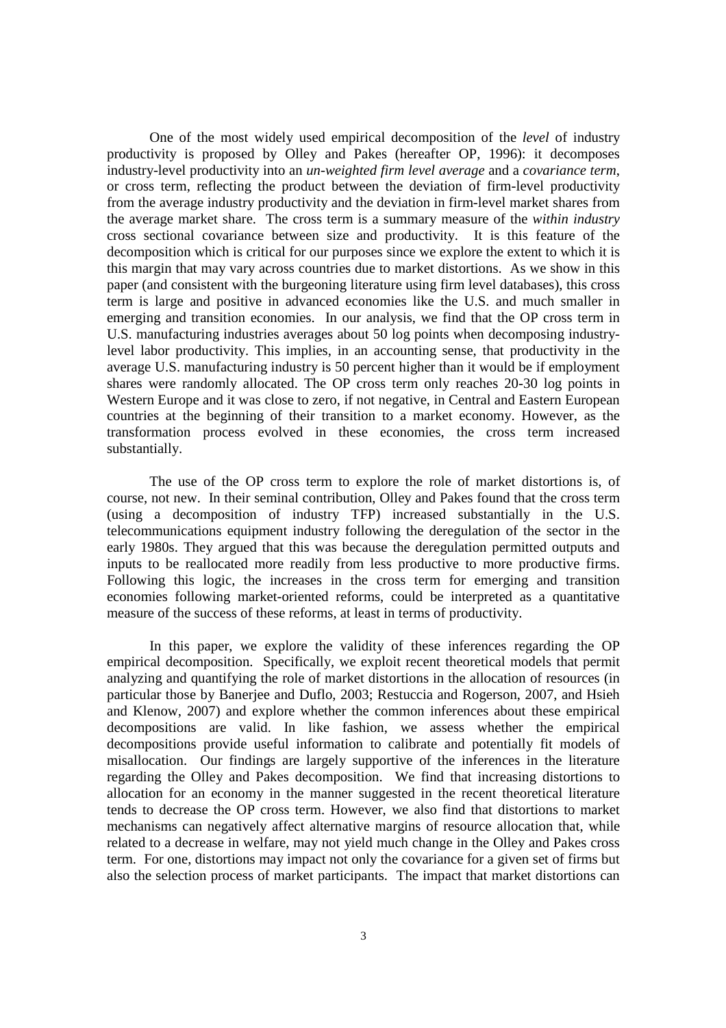One of the most widely used empirical decomposition of the *level* of industry productivity is proposed by Olley and Pakes (hereafter OP, 1996): it decomposes industry-level productivity into an *un-weighted firm level average* and a *covariance term*, or cross term, reflecting the product between the deviation of firm-level productivity from the average industry productivity and the deviation in firm-level market shares from the average market share. The cross term is a summary measure of the *within industry*  cross sectional covariance between size and productivity. It is this feature of the decomposition which is critical for our purposes since we explore the extent to which it is this margin that may vary across countries due to market distortions. As we show in this paper (and consistent with the burgeoning literature using firm level databases), this cross term is large and positive in advanced economies like the U.S. and much smaller in emerging and transition economies. In our analysis, we find that the OP cross term in U.S. manufacturing industries averages about 50 log points when decomposing industrylevel labor productivity. This implies, in an accounting sense, that productivity in the average U.S. manufacturing industry is 50 percent higher than it would be if employment shares were randomly allocated. The OP cross term only reaches 20-30 log points in Western Europe and it was close to zero, if not negative, in Central and Eastern European countries at the beginning of their transition to a market economy. However, as the transformation process evolved in these economies, the cross term increased substantially.

The use of the OP cross term to explore the role of market distortions is, of course, not new. In their seminal contribution, Olley and Pakes found that the cross term (using a decomposition of industry TFP) increased substantially in the U.S. telecommunications equipment industry following the deregulation of the sector in the early 1980s. They argued that this was because the deregulation permitted outputs and inputs to be reallocated more readily from less productive to more productive firms. Following this logic, the increases in the cross term for emerging and transition economies following market-oriented reforms, could be interpreted as a quantitative measure of the success of these reforms, at least in terms of productivity.

In this paper, we explore the validity of these inferences regarding the OP empirical decomposition. Specifically, we exploit recent theoretical models that permit analyzing and quantifying the role of market distortions in the allocation of resources (in particular those by Banerjee and Duflo, 2003; Restuccia and Rogerson, 2007, and Hsieh and Klenow, 2007) and explore whether the common inferences about these empirical decompositions are valid. In like fashion, we assess whether the empirical decompositions provide useful information to calibrate and potentially fit models of misallocation. Our findings are largely supportive of the inferences in the literature regarding the Olley and Pakes decomposition. We find that increasing distortions to allocation for an economy in the manner suggested in the recent theoretical literature tends to decrease the OP cross term. However, we also find that distortions to market mechanisms can negatively affect alternative margins of resource allocation that, while related to a decrease in welfare, may not yield much change in the Olley and Pakes cross term. For one, distortions may impact not only the covariance for a given set of firms but also the selection process of market participants. The impact that market distortions can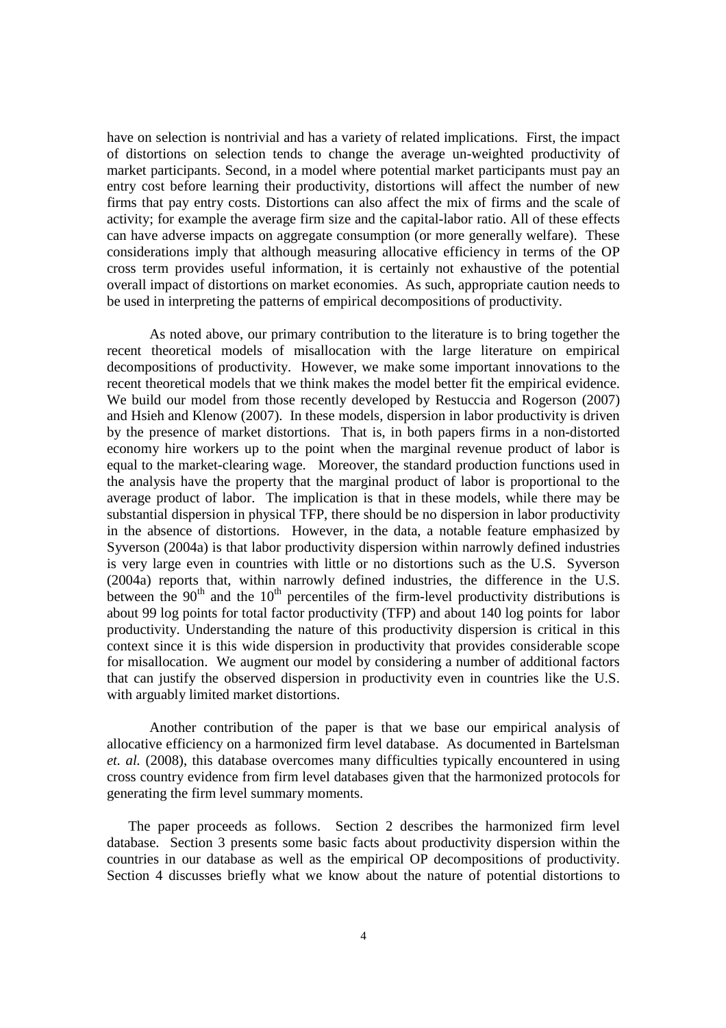have on selection is nontrivial and has a variety of related implications. First, the impact of distortions on selection tends to change the average un-weighted productivity of market participants. Second, in a model where potential market participants must pay an entry cost before learning their productivity, distortions will affect the number of new firms that pay entry costs. Distortions can also affect the mix of firms and the scale of activity; for example the average firm size and the capital-labor ratio. All of these effects can have adverse impacts on aggregate consumption (or more generally welfare). These considerations imply that although measuring allocative efficiency in terms of the OP cross term provides useful information, it is certainly not exhaustive of the potential overall impact of distortions on market economies. As such, appropriate caution needs to be used in interpreting the patterns of empirical decompositions of productivity.

As noted above, our primary contribution to the literature is to bring together the recent theoretical models of misallocation with the large literature on empirical decompositions of productivity. However, we make some important innovations to the recent theoretical models that we think makes the model better fit the empirical evidence. We build our model from those recently developed by Restuccia and Rogerson (2007) and Hsieh and Klenow (2007). In these models, dispersion in labor productivity is driven by the presence of market distortions. That is, in both papers firms in a non-distorted economy hire workers up to the point when the marginal revenue product of labor is equal to the market-clearing wage. Moreover, the standard production functions used in the analysis have the property that the marginal product of labor is proportional to the average product of labor. The implication is that in these models, while there may be substantial dispersion in physical TFP, there should be no dispersion in labor productivity in the absence of distortions. However, in the data, a notable feature emphasized by Syverson (2004a) is that labor productivity dispersion within narrowly defined industries is very large even in countries with little or no distortions such as the U.S. Syverson (2004a) reports that, within narrowly defined industries, the difference in the U.S. between the  $90<sup>th</sup>$  and the  $10<sup>th</sup>$  percentiles of the firm-level productivity distributions is about 99 log points for total factor productivity (TFP) and about 140 log points for labor productivity. Understanding the nature of this productivity dispersion is critical in this context since it is this wide dispersion in productivity that provides considerable scope for misallocation. We augment our model by considering a number of additional factors that can justify the observed dispersion in productivity even in countries like the U.S. with arguably limited market distortions.

Another contribution of the paper is that we base our empirical analysis of allocative efficiency on a harmonized firm level database. As documented in Bartelsman *et. al.* (2008), this database overcomes many difficulties typically encountered in using cross country evidence from firm level databases given that the harmonized protocols for generating the firm level summary moments.

The paper proceeds as follows. Section 2 describes the harmonized firm level database. Section 3 presents some basic facts about productivity dispersion within the countries in our database as well as the empirical OP decompositions of productivity. Section 4 discusses briefly what we know about the nature of potential distortions to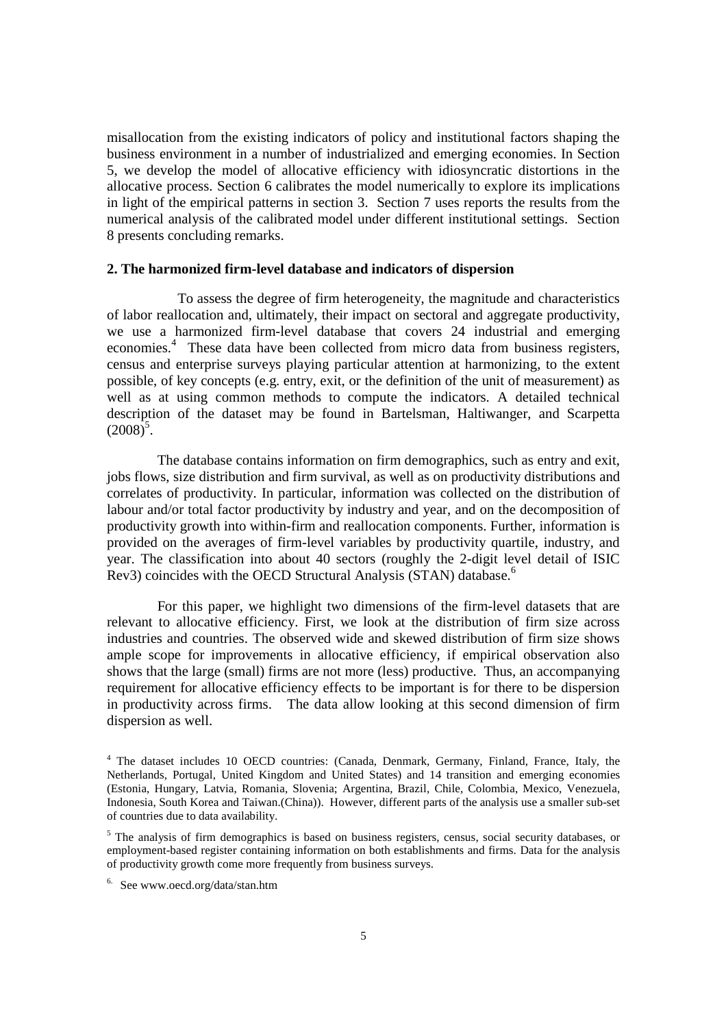misallocation from the existing indicators of policy and institutional factors shaping the business environment in a number of industrialized and emerging economies. In Section 5, we develop the model of allocative efficiency with idiosyncratic distortions in the allocative process. Section 6 calibrates the model numerically to explore its implications in light of the empirical patterns in section 3. Section 7 uses reports the results from the numerical analysis of the calibrated model under different institutional settings. Section 8 presents concluding remarks.

#### **2. The harmonized firm-level database and indicators of dispersion**

 To assess the degree of firm heterogeneity, the magnitude and characteristics of labor reallocation and, ultimately, their impact on sectoral and aggregate productivity, we use a harmonized firm-level database that covers 24 industrial and emerging economies.<sup>4</sup> These data have been collected from micro data from business registers, census and enterprise surveys playing particular attention at harmonizing, to the extent possible, of key concepts (e.g. entry, exit, or the definition of the unit of measurement) as well as at using common methods to compute the indicators. A detailed technical description of the dataset may be found in Bartelsman, Haltiwanger, and Scarpetta  $(2008)^5$ .

 The database contains information on firm demographics, such as entry and exit, jobs flows, size distribution and firm survival, as well as on productivity distributions and correlates of productivity. In particular, information was collected on the distribution of labour and/or total factor productivity by industry and year, and on the decomposition of productivity growth into within-firm and reallocation components. Further, information is provided on the averages of firm-level variables by productivity quartile, industry, and year. The classification into about 40 sectors (roughly the 2-digit level detail of ISIC Rev3) coincides with the OECD Structural Analysis (STAN) database.<sup>6</sup>

 For this paper, we highlight two dimensions of the firm-level datasets that are relevant to allocative efficiency. First, we look at the distribution of firm size across industries and countries. The observed wide and skewed distribution of firm size shows ample scope for improvements in allocative efficiency, if empirical observation also shows that the large (small) firms are not more (less) productive. Thus, an accompanying requirement for allocative efficiency effects to be important is for there to be dispersion in productivity across firms. The data allow looking at this second dimension of firm dispersion as well.

<sup>&</sup>lt;sup>4</sup> The dataset includes 10 OECD countries: (Canada, Denmark, Germany, Finland, France, Italy, the Netherlands, Portugal, United Kingdom and United States) and 14 transition and emerging economies (Estonia, Hungary, Latvia, Romania, Slovenia; Argentina, Brazil, Chile, Colombia, Mexico, Venezuela, Indonesia, South Korea and Taiwan.(China)). However, different parts of the analysis use a smaller sub-set of countries due to data availability.

<sup>&</sup>lt;sup>5</sup> The analysis of firm demographics is based on business registers, census, social security databases, or employment-based register containing information on both establishments and firms. Data for the analysis of productivity growth come more frequently from business surveys.

<sup>6.</sup> See www.oecd.org/data/stan.htm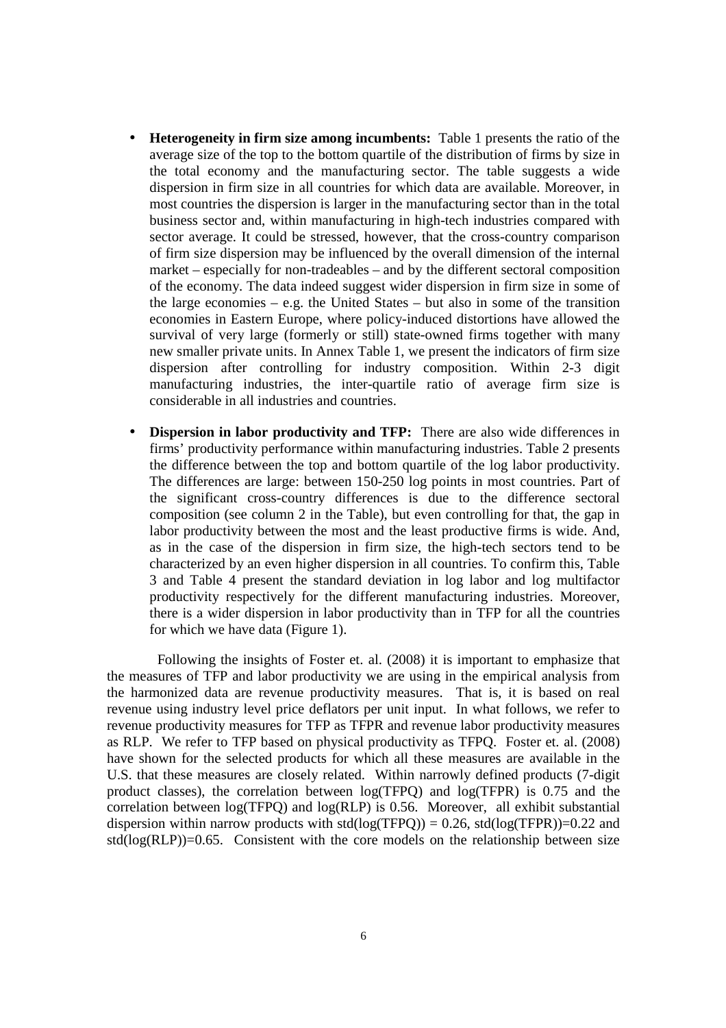- **Heterogeneity in firm size among incumbents:** Table 1 presents the ratio of the average size of the top to the bottom quartile of the distribution of firms by size in the total economy and the manufacturing sector. The table suggests a wide dispersion in firm size in all countries for which data are available. Moreover, in most countries the dispersion is larger in the manufacturing sector than in the total business sector and, within manufacturing in high-tech industries compared with sector average. It could be stressed, however, that the cross-country comparison of firm size dispersion may be influenced by the overall dimension of the internal market – especially for non-tradeables – and by the different sectoral composition of the economy. The data indeed suggest wider dispersion in firm size in some of the large economies – e.g. the United States – but also in some of the transition economies in Eastern Europe, where policy-induced distortions have allowed the survival of very large (formerly or still) state-owned firms together with many new smaller private units. In Annex Table 1, we present the indicators of firm size dispersion after controlling for industry composition. Within 2-3 digit manufacturing industries, the inter-quartile ratio of average firm size is considerable in all industries and countries.
- **Dispersion in labor productivity and TFP:** There are also wide differences in firms' productivity performance within manufacturing industries. Table 2 presents the difference between the top and bottom quartile of the log labor productivity. The differences are large: between 150-250 log points in most countries. Part of the significant cross-country differences is due to the difference sectoral composition (see column 2 in the Table), but even controlling for that, the gap in labor productivity between the most and the least productive firms is wide. And, as in the case of the dispersion in firm size, the high-tech sectors tend to be characterized by an even higher dispersion in all countries. To confirm this, Table 3 and Table 4 present the standard deviation in log labor and log multifactor productivity respectively for the different manufacturing industries. Moreover, there is a wider dispersion in labor productivity than in TFP for all the countries for which we have data (Figure 1).

 Following the insights of Foster et. al. (2008) it is important to emphasize that the measures of TFP and labor productivity we are using in the empirical analysis from the harmonized data are revenue productivity measures. That is, it is based on real revenue using industry level price deflators per unit input. In what follows, we refer to revenue productivity measures for TFP as TFPR and revenue labor productivity measures as RLP. We refer to TFP based on physical productivity as TFPQ. Foster et. al. (2008) have shown for the selected products for which all these measures are available in the U.S. that these measures are closely related. Within narrowly defined products (7-digit product classes), the correlation between log(TFPQ) and log(TFPR) is 0.75 and the correlation between log(TFPQ) and log(RLP) is 0.56. Moreover, all exhibit substantial dispersion within narrow products with std(log(TFPQ)) = 0.26, std(log(TFPR))=0.22 and  $std(log(RLP))=0.65$ . Consistent with the core models on the relationship between size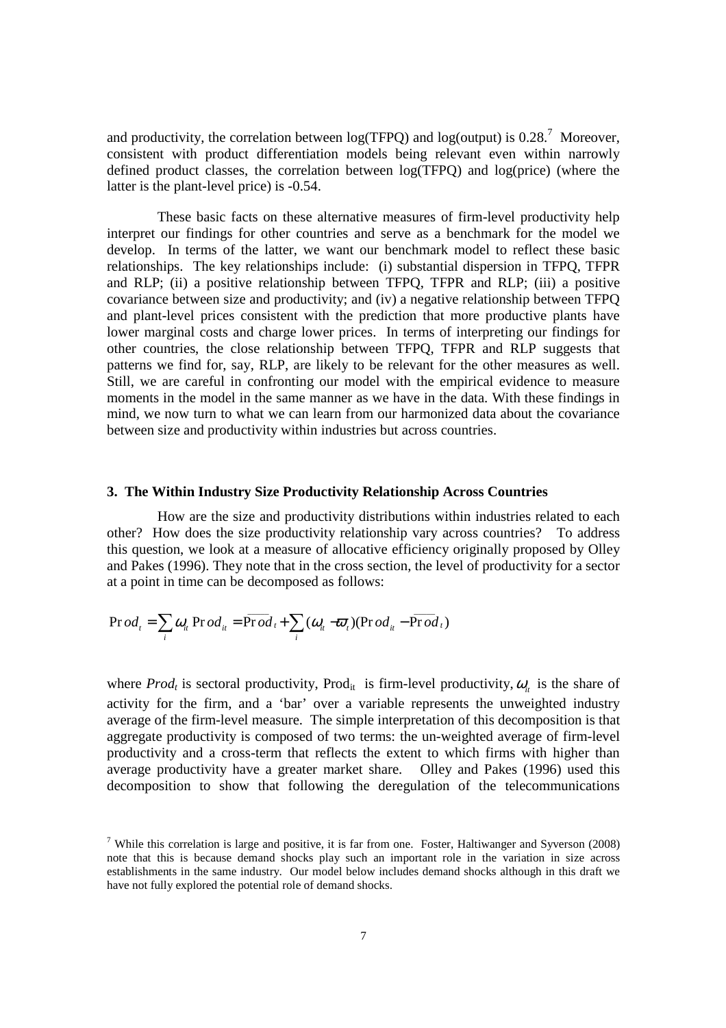and productivity, the correlation between  $log(TFPQ)$  and  $log(output)$  is 0.28.<sup>7</sup> Moreover, consistent with product differentiation models being relevant even within narrowly defined product classes, the correlation between log(TFPQ) and log(price) (where the latter is the plant-level price) is -0.54.

 These basic facts on these alternative measures of firm-level productivity help interpret our findings for other countries and serve as a benchmark for the model we develop. In terms of the latter, we want our benchmark model to reflect these basic relationships. The key relationships include: (i) substantial dispersion in TFPQ, TFPR and RLP; (ii) a positive relationship between TFPQ, TFPR and RLP; (iii) a positive covariance between size and productivity; and (iv) a negative relationship between TFPQ and plant-level prices consistent with the prediction that more productive plants have lower marginal costs and charge lower prices. In terms of interpreting our findings for other countries, the close relationship between TFPQ, TFPR and RLP suggests that patterns we find for, say, RLP, are likely to be relevant for the other measures as well. Still, we are careful in confronting our model with the empirical evidence to measure moments in the model in the same manner as we have in the data. With these findings in mind, we now turn to what we can learn from our harmonized data about the covariance between size and productivity within industries but across countries.

#### **3. The Within Industry Size Productivity Relationship Across Countries**

 How are the size and productivity distributions within industries related to each other? How does the size productivity relationship vary across countries? To address this question, we look at a measure of allocative efficiency originally proposed by Olley and Pakes (1996). They note that in the cross section, the level of productivity for a sector at a point in time can be decomposed as follows:

$$
\Pr{od_t} = \sum_i \omega_{it} \Pr{od_{it}} = \overline{\Pr{od}_t} + \sum_i (\omega_{it} - \overline{\omega}_t) (\Pr{od}_{it} - \overline{\Pr{od}_t})
$$

where  $Prod_t$  is sectoral productivity, Prod<sub>it</sub> is firm-level productivity,  $\omega_{it}$  is the share of activity for the firm, and a 'bar' over a variable represents the unweighted industry average of the firm-level measure. The simple interpretation of this decomposition is that aggregate productivity is composed of two terms: the un-weighted average of firm-level productivity and a cross-term that reflects the extent to which firms with higher than average productivity have a greater market share. Olley and Pakes (1996) used this decomposition to show that following the deregulation of the telecommunications

<sup>&</sup>lt;sup>7</sup> While this correlation is large and positive, it is far from one. Foster, Haltiwanger and Syverson  $(2008)$ note that this is because demand shocks play such an important role in the variation in size across establishments in the same industry. Our model below includes demand shocks although in this draft we have not fully explored the potential role of demand shocks.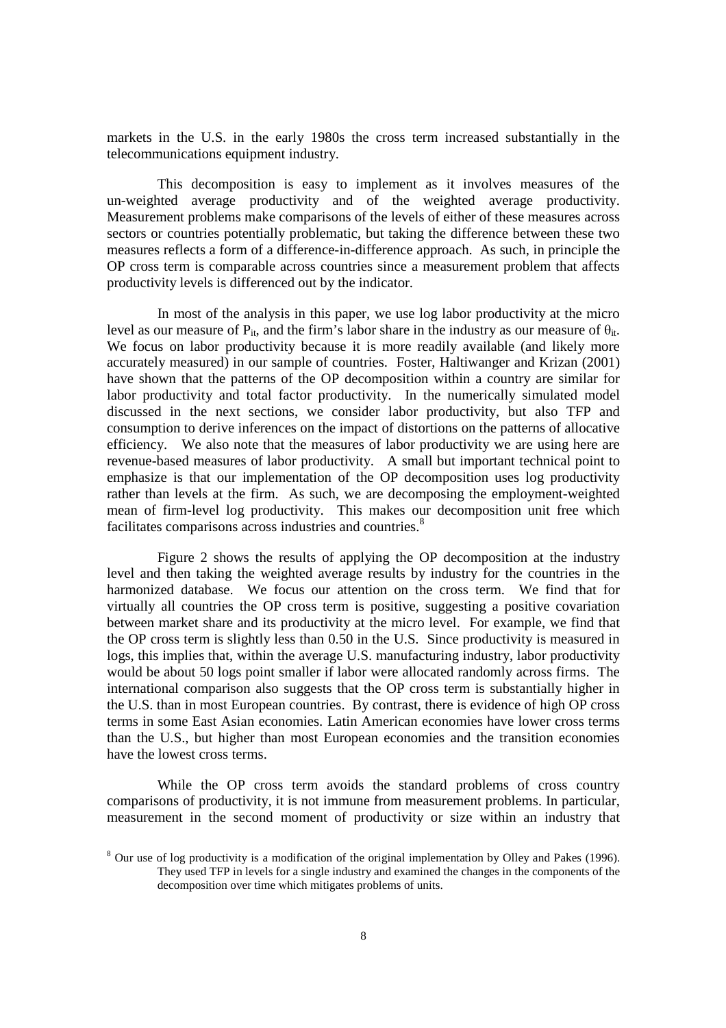markets in the U.S. in the early 1980s the cross term increased substantially in the telecommunications equipment industry.

 This decomposition is easy to implement as it involves measures of the un-weighted average productivity and of the weighted average productivity. Measurement problems make comparisons of the levels of either of these measures across sectors or countries potentially problematic, but taking the difference between these two measures reflects a form of a difference-in-difference approach. As such, in principle the OP cross term is comparable across countries since a measurement problem that affects productivity levels is differenced out by the indicator.

 In most of the analysis in this paper, we use log labor productivity at the micro level as our measure of  $P_{it}$ , and the firm's labor share in the industry as our measure of  $\theta_{it}$ . We focus on labor productivity because it is more readily available (and likely more accurately measured) in our sample of countries. Foster, Haltiwanger and Krizan (2001) have shown that the patterns of the OP decomposition within a country are similar for labor productivity and total factor productivity. In the numerically simulated model discussed in the next sections, we consider labor productivity, but also TFP and consumption to derive inferences on the impact of distortions on the patterns of allocative efficiency. We also note that the measures of labor productivity we are using here are revenue-based measures of labor productivity. A small but important technical point to emphasize is that our implementation of the OP decomposition uses log productivity rather than levels at the firm. As such, we are decomposing the employment-weighted mean of firm-level log productivity. This makes our decomposition unit free which facilitates comparisons across industries and countries.<sup>8</sup>

 Figure 2 shows the results of applying the OP decomposition at the industry level and then taking the weighted average results by industry for the countries in the harmonized database. We focus our attention on the cross term. We find that for virtually all countries the OP cross term is positive, suggesting a positive covariation between market share and its productivity at the micro level. For example, we find that the OP cross term is slightly less than 0.50 in the U.S. Since productivity is measured in logs, this implies that, within the average U.S. manufacturing industry, labor productivity would be about 50 logs point smaller if labor were allocated randomly across firms. The international comparison also suggests that the OP cross term is substantially higher in the U.S. than in most European countries. By contrast, there is evidence of high OP cross terms in some East Asian economies. Latin American economies have lower cross terms than the U.S., but higher than most European economies and the transition economies have the lowest cross terms.

 While the OP cross term avoids the standard problems of cross country comparisons of productivity, it is not immune from measurement problems. In particular, measurement in the second moment of productivity or size within an industry that

 $8$  Our use of log productivity is a modification of the original implementation by Olley and Pakes (1996). They used TFP in levels for a single industry and examined the changes in the components of the decomposition over time which mitigates problems of units.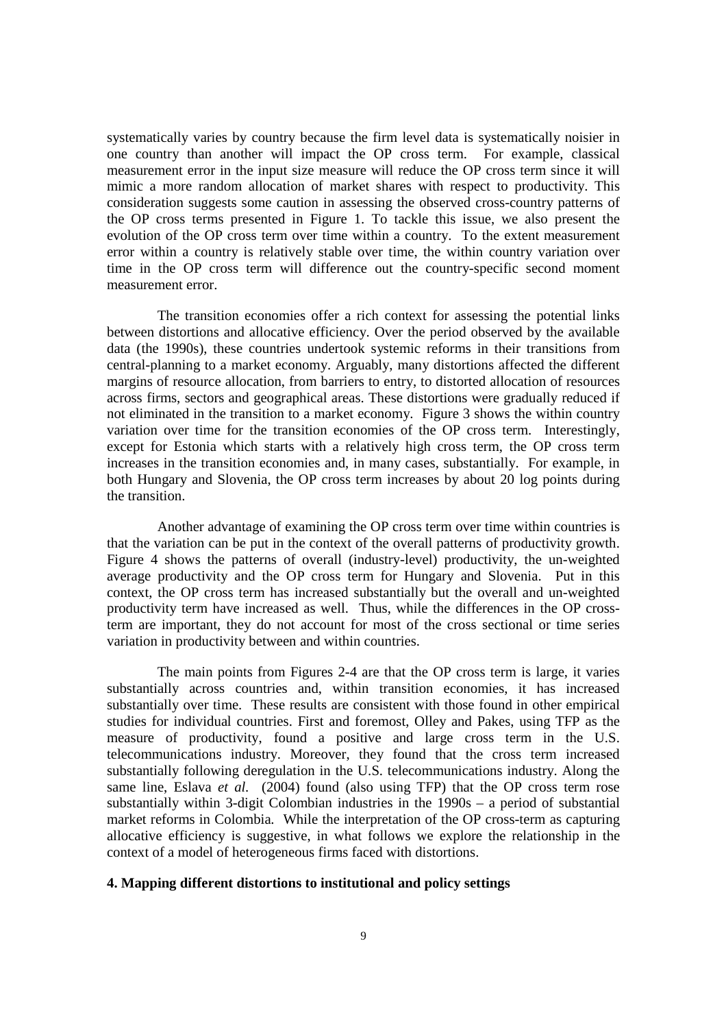systematically varies by country because the firm level data is systematically noisier in one country than another will impact the OP cross term. For example, classical measurement error in the input size measure will reduce the OP cross term since it will mimic a more random allocation of market shares with respect to productivity. This consideration suggests some caution in assessing the observed cross-country patterns of the OP cross terms presented in Figure 1. To tackle this issue, we also present the evolution of the OP cross term over time within a country. To the extent measurement error within a country is relatively stable over time, the within country variation over time in the OP cross term will difference out the country-specific second moment measurement error.

 The transition economies offer a rich context for assessing the potential links between distortions and allocative efficiency. Over the period observed by the available data (the 1990s), these countries undertook systemic reforms in their transitions from central-planning to a market economy. Arguably, many distortions affected the different margins of resource allocation, from barriers to entry, to distorted allocation of resources across firms, sectors and geographical areas. These distortions were gradually reduced if not eliminated in the transition to a market economy. Figure 3 shows the within country variation over time for the transition economies of the OP cross term. Interestingly, except for Estonia which starts with a relatively high cross term, the OP cross term increases in the transition economies and, in many cases, substantially. For example, in both Hungary and Slovenia, the OP cross term increases by about 20 log points during the transition.

 Another advantage of examining the OP cross term over time within countries is that the variation can be put in the context of the overall patterns of productivity growth. Figure 4 shows the patterns of overall (industry-level) productivity, the un-weighted average productivity and the OP cross term for Hungary and Slovenia. Put in this context, the OP cross term has increased substantially but the overall and un-weighted productivity term have increased as well. Thus, while the differences in the OP crossterm are important, they do not account for most of the cross sectional or time series variation in productivity between and within countries.

The main points from Figures 2-4 are that the OP cross term is large, it varies substantially across countries and, within transition economies, it has increased substantially over time. These results are consistent with those found in other empirical studies for individual countries. First and foremost, Olley and Pakes, using TFP as the measure of productivity, found a positive and large cross term in the U.S. telecommunications industry. Moreover, they found that the cross term increased substantially following deregulation in the U.S. telecommunications industry. Along the same line, Eslava *et al.* (2004) found (also using TFP) that the OP cross term rose substantially within 3-digit Colombian industries in the 1990s – a period of substantial market reforms in Colombia. While the interpretation of the OP cross-term as capturing allocative efficiency is suggestive, in what follows we explore the relationship in the context of a model of heterogeneous firms faced with distortions.

#### **4. Mapping different distortions to institutional and policy settings**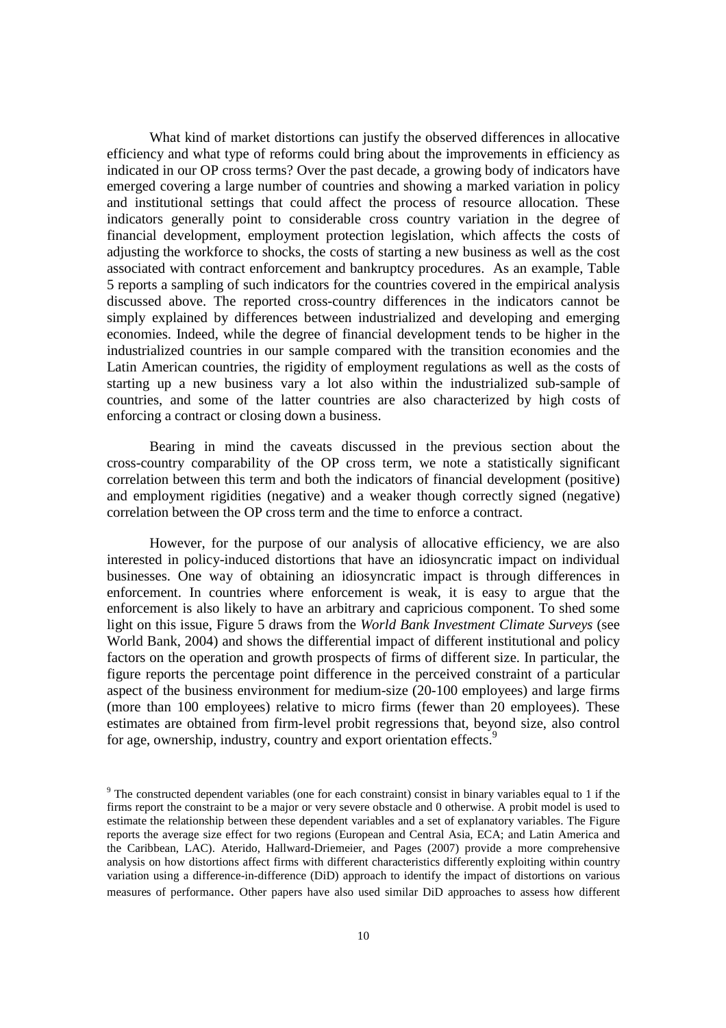What kind of market distortions can justify the observed differences in allocative efficiency and what type of reforms could bring about the improvements in efficiency as indicated in our OP cross terms? Over the past decade, a growing body of indicators have emerged covering a large number of countries and showing a marked variation in policy and institutional settings that could affect the process of resource allocation. These indicators generally point to considerable cross country variation in the degree of financial development, employment protection legislation, which affects the costs of adjusting the workforce to shocks, the costs of starting a new business as well as the cost associated with contract enforcement and bankruptcy procedures. As an example, Table 5 reports a sampling of such indicators for the countries covered in the empirical analysis discussed above. The reported cross-country differences in the indicators cannot be simply explained by differences between industrialized and developing and emerging economies. Indeed, while the degree of financial development tends to be higher in the industrialized countries in our sample compared with the transition economies and the Latin American countries, the rigidity of employment regulations as well as the costs of starting up a new business vary a lot also within the industrialized sub-sample of countries, and some of the latter countries are also characterized by high costs of enforcing a contract or closing down a business.

Bearing in mind the caveats discussed in the previous section about the cross-country comparability of the OP cross term, we note a statistically significant correlation between this term and both the indicators of financial development (positive) and employment rigidities (negative) and a weaker though correctly signed (negative) correlation between the OP cross term and the time to enforce a contract.

However, for the purpose of our analysis of allocative efficiency, we are also interested in policy-induced distortions that have an idiosyncratic impact on individual businesses. One way of obtaining an idiosyncratic impact is through differences in enforcement. In countries where enforcement is weak, it is easy to argue that the enforcement is also likely to have an arbitrary and capricious component. To shed some light on this issue, Figure 5 draws from the *World Bank Investment Climate Surveys* (see World Bank, 2004) and shows the differential impact of different institutional and policy factors on the operation and growth prospects of firms of different size. In particular, the figure reports the percentage point difference in the perceived constraint of a particular aspect of the business environment for medium-size (20-100 employees) and large firms (more than 100 employees) relative to micro firms (fewer than 20 employees). These estimates are obtained from firm-level probit regressions that, beyond size, also control for age, ownership, industry, country and export orientation effects.<sup>9</sup>

<sup>&</sup>lt;sup>9</sup> The constructed dependent variables (one for each constraint) consist in binary variables equal to 1 if the firms report the constraint to be a major or very severe obstacle and 0 otherwise. A probit model is used to estimate the relationship between these dependent variables and a set of explanatory variables. The Figure reports the average size effect for two regions (European and Central Asia, ECA; and Latin America and the Caribbean, LAC). Aterido, Hallward-Driemeier, and Pages (2007) provide a more comprehensive analysis on how distortions affect firms with different characteristics differently exploiting within country variation using a difference-in-difference (DiD) approach to identify the impact of distortions on various measures of performance. Other papers have also used similar DiD approaches to assess how different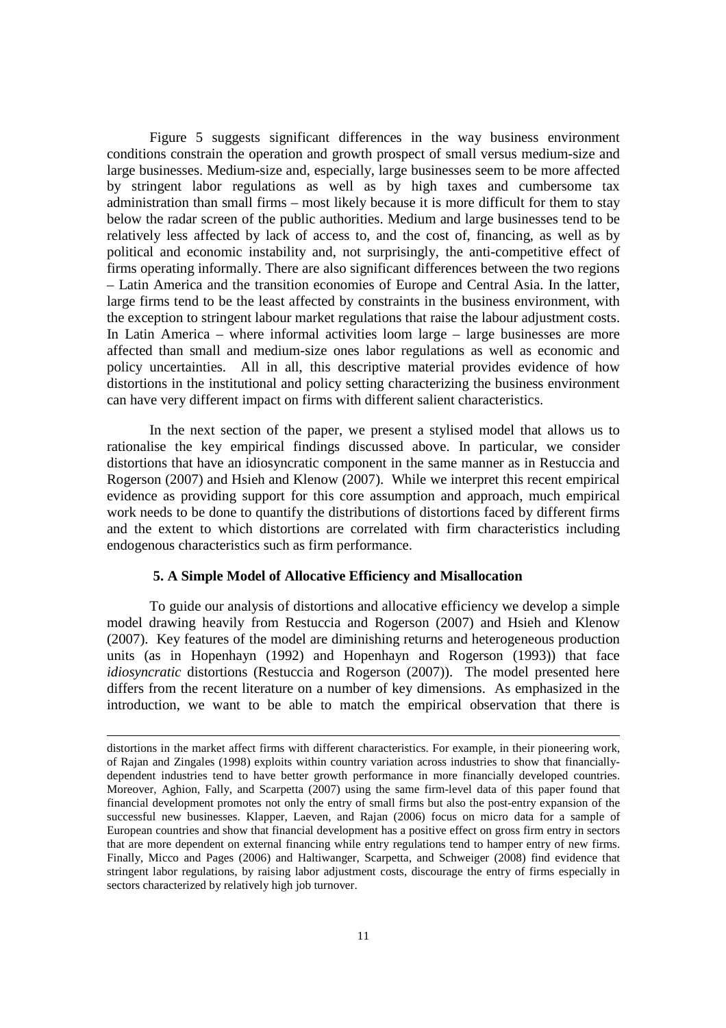Figure 5 suggests significant differences in the way business environment conditions constrain the operation and growth prospect of small versus medium-size and large businesses. Medium-size and, especially, large businesses seem to be more affected by stringent labor regulations as well as by high taxes and cumbersome tax administration than small firms – most likely because it is more difficult for them to stay below the radar screen of the public authorities. Medium and large businesses tend to be relatively less affected by lack of access to, and the cost of, financing, as well as by political and economic instability and, not surprisingly, the anti-competitive effect of firms operating informally. There are also significant differences between the two regions – Latin America and the transition economies of Europe and Central Asia. In the latter, large firms tend to be the least affected by constraints in the business environment, with the exception to stringent labour market regulations that raise the labour adjustment costs. In Latin America – where informal activities loom large – large businesses are more affected than small and medium-size ones labor regulations as well as economic and policy uncertainties. All in all, this descriptive material provides evidence of how distortions in the institutional and policy setting characterizing the business environment can have very different impact on firms with different salient characteristics.

In the next section of the paper, we present a stylised model that allows us to rationalise the key empirical findings discussed above. In particular, we consider distortions that have an idiosyncratic component in the same manner as in Restuccia and Rogerson (2007) and Hsieh and Klenow (2007). While we interpret this recent empirical evidence as providing support for this core assumption and approach, much empirical work needs to be done to quantify the distributions of distortions faced by different firms and the extent to which distortions are correlated with firm characteristics including endogenous characteristics such as firm performance.

#### **5. A Simple Model of Allocative Efficiency and Misallocation**

l

 To guide our analysis of distortions and allocative efficiency we develop a simple model drawing heavily from Restuccia and Rogerson (2007) and Hsieh and Klenow (2007). Key features of the model are diminishing returns and heterogeneous production units (as in Hopenhayn (1992) and Hopenhayn and Rogerson (1993)) that face *idiosyncratic* distortions (Restuccia and Rogerson (2007)). The model presented here differs from the recent literature on a number of key dimensions. As emphasized in the introduction, we want to be able to match the empirical observation that there is

distortions in the market affect firms with different characteristics. For example, in their pioneering work, of Rajan and Zingales (1998) exploits within country variation across industries to show that financiallydependent industries tend to have better growth performance in more financially developed countries. Moreover, Aghion, Fally, and Scarpetta (2007) using the same firm-level data of this paper found that financial development promotes not only the entry of small firms but also the post-entry expansion of the successful new businesses. Klapper, Laeven, and Rajan (2006) focus on micro data for a sample of European countries and show that financial development has a positive effect on gross firm entry in sectors that are more dependent on external financing while entry regulations tend to hamper entry of new firms. Finally, Micco and Pages (2006) and Haltiwanger, Scarpetta, and Schweiger (2008) find evidence that stringent labor regulations, by raising labor adjustment costs, discourage the entry of firms especially in sectors characterized by relatively high job turnover.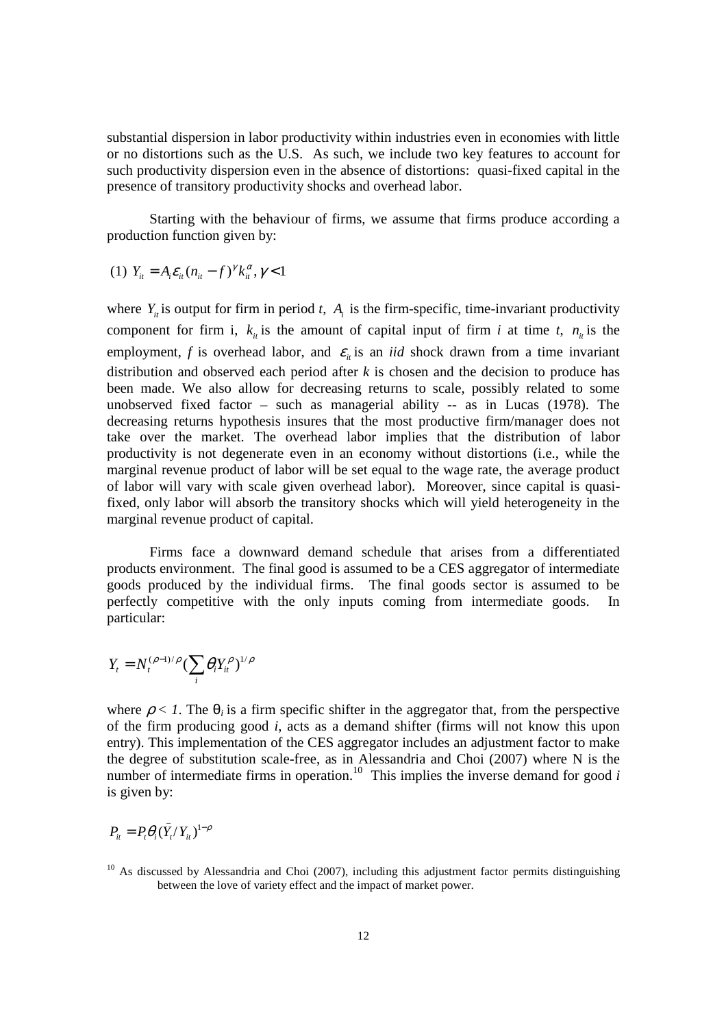substantial dispersion in labor productivity within industries even in economies with little or no distortions such as the U.S. As such, we include two key features to account for such productivity dispersion even in the absence of distortions: quasi-fixed capital in the presence of transitory productivity shocks and overhead labor.

 Starting with the behaviour of firms, we assume that firms produce according a production function given by:

(1) 
$$
Y_{it} = A_i \varepsilon_{it} (n_{it} - f)^{\gamma} k_{it}^{\alpha}, \gamma < 1
$$

where  $Y_i$  is output for firm in period *t*,  $A_i$  is the firm-specific, time-invariant productivity component for firm i,  $k_{i}$  is the amount of capital input of firm *i* at time *t*,  $n_{i}$  is the employment, *f* is overhead labor, and  $\varepsilon$ <sub>*ii*</sub> is an *iid* shock drawn from a time invariant distribution and observed each period after *k* is chosen and the decision to produce has been made. We also allow for decreasing returns to scale, possibly related to some unobserved fixed factor – such as managerial ability -- as in Lucas (1978). The decreasing returns hypothesis insures that the most productive firm/manager does not take over the market. The overhead labor implies that the distribution of labor productivity is not degenerate even in an economy without distortions (i.e., while the marginal revenue product of labor will be set equal to the wage rate, the average product of labor will vary with scale given overhead labor). Moreover, since capital is quasifixed, only labor will absorb the transitory shocks which will yield heterogeneity in the marginal revenue product of capital.

 Firms face a downward demand schedule that arises from a differentiated products environment. The final good is assumed to be a CES aggregator of intermediate goods produced by the individual firms. The final goods sector is assumed to be perfectly competitive with the only inputs coming from intermediate goods. In particular:

$$
Y_t = N_t^{(\rho-1)/\rho} \left(\sum_i \theta_i Y_{it}^{\rho}\right)^{1/\rho}
$$

where  $\rho < 1$ . The  $\theta_i$  is a firm specific shifter in the aggregator that, from the perspective of the firm producing good *i*, acts as a demand shifter (firms will not know this upon entry). This implementation of the CES aggregator includes an adjustment factor to make the degree of substitution scale-free, as in Alessandria and Choi (2007) where N is the number of intermediate firms in operation.<sup>10</sup> This implies the inverse demand for good  $i$ is given by:

 $P_{it} = P_{t} \theta_{i} (\bar{Y}_{t} / Y_{it})^{1-\rho}$ 

 $10$  As discussed by Alessandria and Choi (2007), including this adjustment factor permits distinguishing between the love of variety effect and the impact of market power.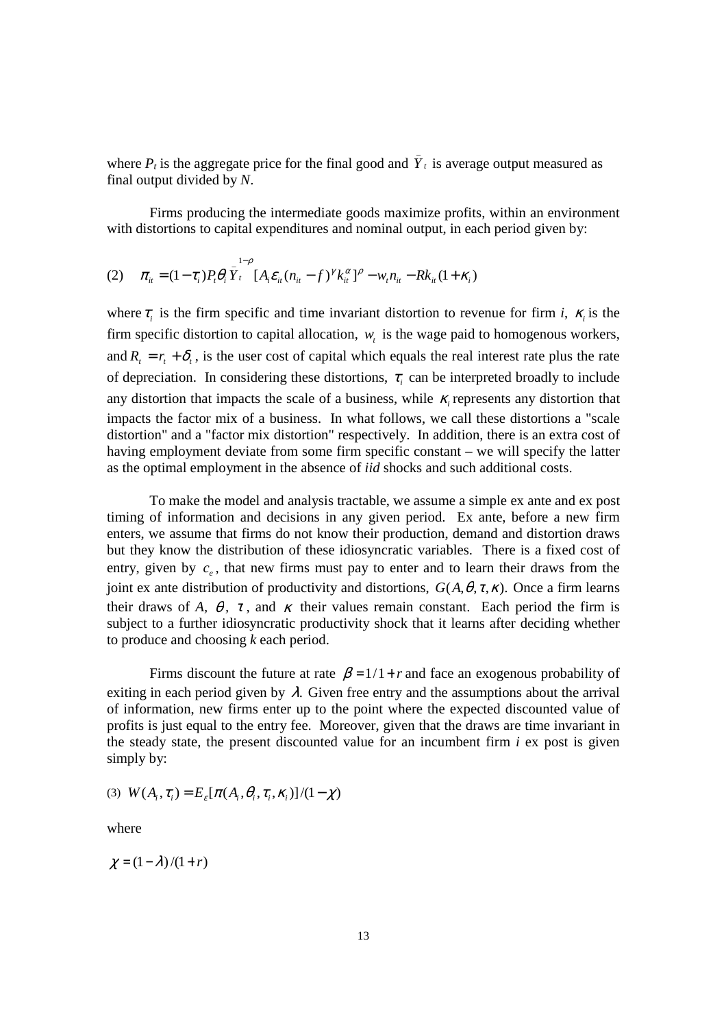where  $P_t$  is the aggregate price for the final good and  $\overline{Y}_t$  is average output measured as final output divided by *N*.

 Firms producing the intermediate goods maximize profits, within an environment with distortions to capital expenditures and nominal output, in each period given by:

(2) 
$$
\pi_{ii} = (1 - \tau_i) P_t \theta_i \overline{Y}_t^{1 - \rho} [A_i \varepsilon_{ii} (n_{ii} - f)^{\gamma} k_{ii}^{\alpha}]^{\rho} - w_t n_{ii} - R k_{ii} (1 + \kappa_i)
$$

where  $\tau$ <sub>i</sub> is the firm specific and time invariant distortion to revenue for firm *i*,  $\kappa$ <sub>i</sub> is the firm specific distortion to capital allocation,  $w_t$  is the wage paid to homogenous workers, and  $R_1 = r_1 + \delta_1$ , is the user cost of capital which equals the real interest rate plus the rate of depreciation. In considering these distortions,  $\tau$ <sub>i</sub> can be interpreted broadly to include any distortion that impacts the scale of a business, while  $\kappa$ <sub>i</sub> represents any distortion that impacts the factor mix of a business. In what follows, we call these distortions a "scale distortion" and a "factor mix distortion" respectively. In addition, there is an extra cost of having employment deviate from some firm specific constant – we will specify the latter as the optimal employment in the absence of *iid* shocks and such additional costs.

 To make the model and analysis tractable, we assume a simple ex ante and ex post timing of information and decisions in any given period. Ex ante, before a new firm enters, we assume that firms do not know their production, demand and distortion draws but they know the distribution of these idiosyncratic variables. There is a fixed cost of entry, given by  $c_e$ , that new firms must pay to enter and to learn their draws from the joint ex ante distribution of productivity and distortions,  $G(A, \theta, \tau, \kappa)$ . Once a firm learns their draws of *A*,  $\theta$ ,  $\tau$ , and  $\kappa$  their values remain constant. Each period the firm is subject to a further idiosyncratic productivity shock that it learns after deciding whether to produce and choosing *k* each period.

Firms discount the future at rate  $\beta = 1/1 + r$  and face an exogenous probability of exiting in each period given by  $\lambda$ . Given free entry and the assumptions about the arrival of information, new firms enter up to the point where the expected discounted value of profits is just equal to the entry fee. Moreover, given that the draws are time invariant in the steady state, the present discounted value for an incumbent firm *i* ex post is given simply by:

$$
(3) W(Ai, \taui) = E\varepsilon[\pi(Ai, \thetai, \taui, \kappai)]/(1 - \chi)
$$

where

 $\chi = (1 - \lambda)/(1 + r)$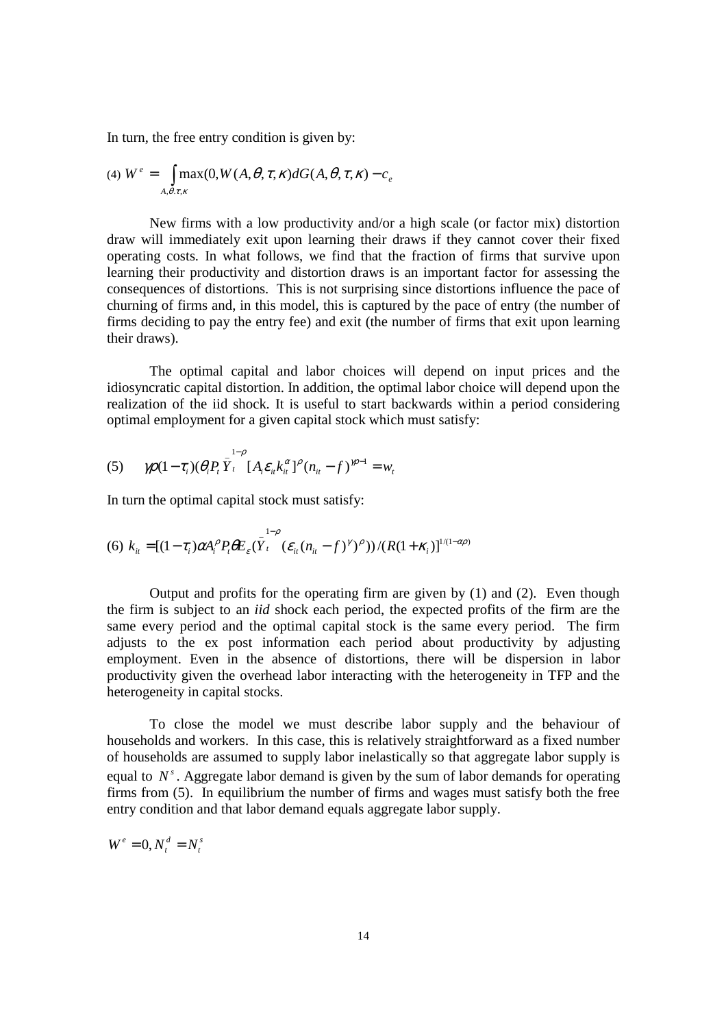In turn, the free entry condition is given by:

$$
(4) \ W^e = \int_{A,\theta,\tau,\kappa} \max(0, W(A,\theta,\tau,\kappa) dG(A,\theta,\tau,\kappa) - c_e
$$

 New firms with a low productivity and/or a high scale (or factor mix) distortion draw will immediately exit upon learning their draws if they cannot cover their fixed operating costs. In what follows, we find that the fraction of firms that survive upon learning their productivity and distortion draws is an important factor for assessing the consequences of distortions. This is not surprising since distortions influence the pace of churning of firms and, in this model, this is captured by the pace of entry (the number of firms deciding to pay the entry fee) and exit (the number of firms that exit upon learning their draws).

The optimal capital and labor choices will depend on input prices and the idiosyncratic capital distortion. In addition, the optimal labor choice will depend upon the realization of the iid shock. It is useful to start backwards within a period considering optimal employment for a given capital stock which must satisfy:

(5) 
$$
\mathcal{W}(1-\tau_i)(\theta_i P_i \overline{Y}_t^{1-\rho} [A_i \varepsilon_{it} k_{it}^{\alpha}]^{\rho} (n_{it} - f)^{m-1} = w_t
$$

In turn the optimal capital stock must satisfy:

(6) 
$$
k_{ii} = [(1 - \tau_i)\alpha A_i^{\rho} P_t \theta E_{\varepsilon} (\bar{Y}_t^{1-\rho} (\varepsilon_{ii} (n_{ii} - f)^{\gamma})^{\rho}))/(R(1 + \kappa_i)]^{1/(1-\alpha\rho)}
$$

 Output and profits for the operating firm are given by (1) and (2). Even though the firm is subject to an *iid* shock each period, the expected profits of the firm are the same every period and the optimal capital stock is the same every period. The firm adjusts to the ex post information each period about productivity by adjusting employment. Even in the absence of distortions, there will be dispersion in labor productivity given the overhead labor interacting with the heterogeneity in TFP and the heterogeneity in capital stocks.

 To close the model we must describe labor supply and the behaviour of households and workers. In this case, this is relatively straightforward as a fixed number of households are assumed to supply labor inelastically so that aggregate labor supply is equal to  $N<sup>s</sup>$ . Aggregate labor demand is given by the sum of labor demands for operating firms from (5). In equilibrium the number of firms and wages must satisfy both the free entry condition and that labor demand equals aggregate labor supply.

$$
W^e = 0, N_t^d = N_t^s
$$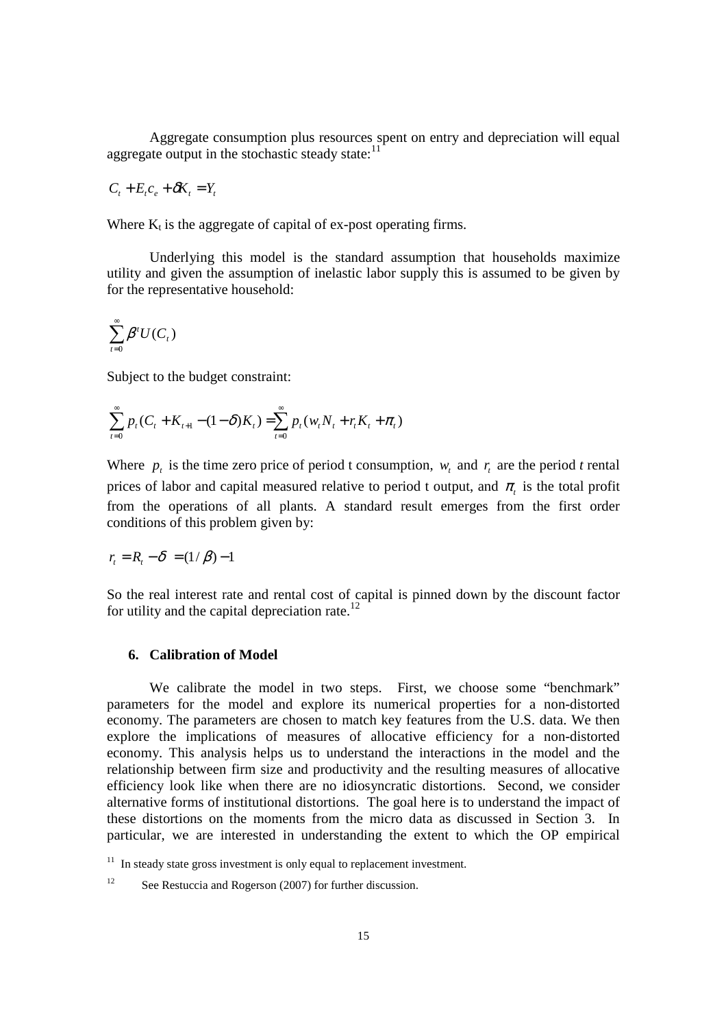Aggregate consumption plus resources spent on entry and depreciation will equal aggregate output in the stochastic steady state: $11$ 

$$
C_t + E_t c_e + \delta K_t = Y_t
$$

Where  $K_t$  is the aggregate of capital of ex-post operating firms.

 Underlying this model is the standard assumption that households maximize utility and given the assumption of inelastic labor supply this is assumed to be given by for the representative household:

$$
\sum_{\iota=0}^{\infty} \beta^t U(C_{_t})
$$

Subject to the budget constraint:

$$
\sum_{t=0}^{\infty} p_t (C_t + K_{t+1} - (1 - \delta) K_t) = \sum_{t=0}^{\infty} p_t (w_t N_t + r_t K_t + \pi_t)
$$

Where  $p_t$  is the time zero price of period t consumption,  $w_t$  and  $r_t$  are the period t rental prices of labor and capital measured relative to period t output, and  $\pi$ <sub>t</sub> is the total profit from the operations of all plants. A standard result emerges from the first order conditions of this problem given by:

$$
r_t = R_t - \delta = (1/\beta) - 1
$$

So the real interest rate and rental cost of capital is pinned down by the discount factor for utility and the capital depreciation rate.<sup>12</sup>

#### **6. Calibration of Model**

 We calibrate the model in two steps. First, we choose some "benchmark" parameters for the model and explore its numerical properties for a non-distorted economy. The parameters are chosen to match key features from the U.S. data. We then explore the implications of measures of allocative efficiency for a non-distorted economy. This analysis helps us to understand the interactions in the model and the relationship between firm size and productivity and the resulting measures of allocative efficiency look like when there are no idiosyncratic distortions. Second, we consider alternative forms of institutional distortions. The goal here is to understand the impact of these distortions on the moments from the micro data as discussed in Section 3. In particular, we are interested in understanding the extent to which the OP empirical

 $11$  In steady state gross investment is only equal to replacement investment.

<sup>&</sup>lt;sup>12</sup> See Restuccia and Rogerson (2007) for further discussion.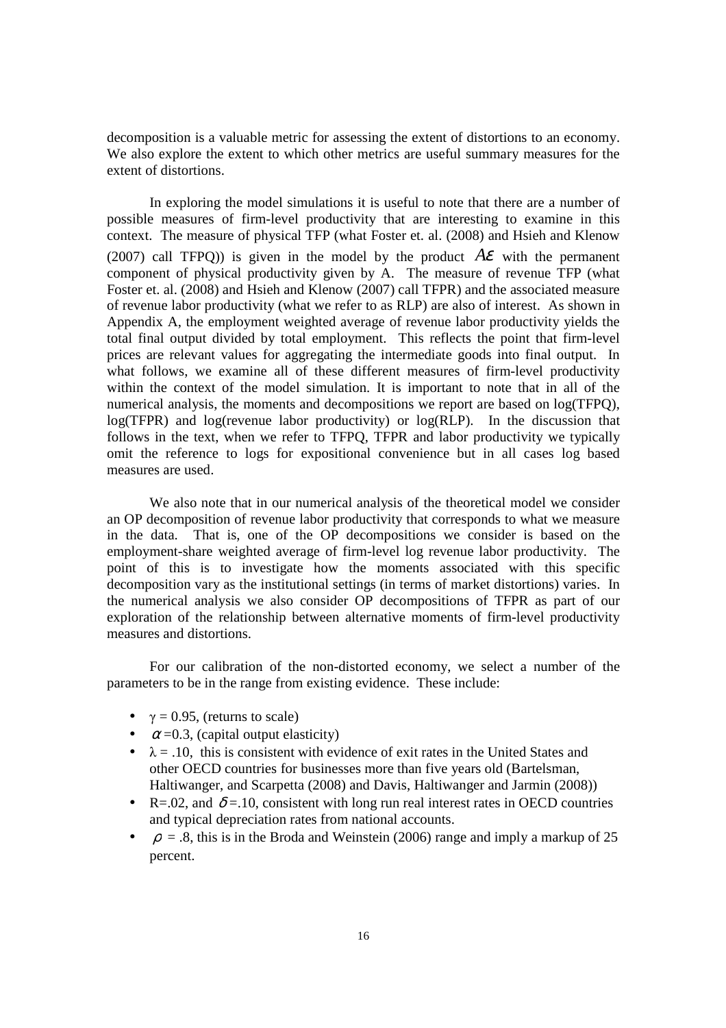decomposition is a valuable metric for assessing the extent of distortions to an economy. We also explore the extent to which other metrics are useful summary measures for the extent of distortions.

In exploring the model simulations it is useful to note that there are a number of possible measures of firm-level productivity that are interesting to examine in this context. The measure of physical TFP (what Foster et. al. (2008) and Hsieh and Klenow (2007) call TFPO)) is given in the model by the product  $A\mathcal{E}$  with the permanent component of physical productivity given by A. The measure of revenue TFP (what Foster et. al. (2008) and Hsieh and Klenow (2007) call TFPR) and the associated measure of revenue labor productivity (what we refer to as RLP) are also of interest. As shown in Appendix A, the employment weighted average of revenue labor productivity yields the total final output divided by total employment. This reflects the point that firm-level prices are relevant values for aggregating the intermediate goods into final output. In what follows, we examine all of these different measures of firm-level productivity within the context of the model simulation. It is important to note that in all of the numerical analysis, the moments and decompositions we report are based on log(TFPQ), log(TFPR) and log(revenue labor productivity) or log(RLP). In the discussion that follows in the text, when we refer to TFPQ, TFPR and labor productivity we typically omit the reference to logs for expositional convenience but in all cases log based measures are used.

We also note that in our numerical analysis of the theoretical model we consider an OP decomposition of revenue labor productivity that corresponds to what we measure in the data. That is, one of the OP decompositions we consider is based on the employment-share weighted average of firm-level log revenue labor productivity. The point of this is to investigate how the moments associated with this specific decomposition vary as the institutional settings (in terms of market distortions) varies. In the numerical analysis we also consider OP decompositions of TFPR as part of our exploration of the relationship between alternative moments of firm-level productivity measures and distortions.

For our calibration of the non-distorted economy, we select a number of the parameters to be in the range from existing evidence. These include:

- $\gamma = 0.95$ , (returns to scale)
- $\alpha$  =0.3, (capital output elasticity)
- $\lambda = .10$ , this is consistent with evidence of exit rates in the United States and other OECD countries for businesses more than five years old (Bartelsman, Haltiwanger, and Scarpetta (2008) and Davis, Haltiwanger and Jarmin (2008))
- R=.02, and  $\delta$  =.10, consistent with long run real interest rates in OECD countries and typical depreciation rates from national accounts.
- $\rho = 0.8$ , this is in the Broda and Weinstein (2006) range and imply a markup of 25 percent.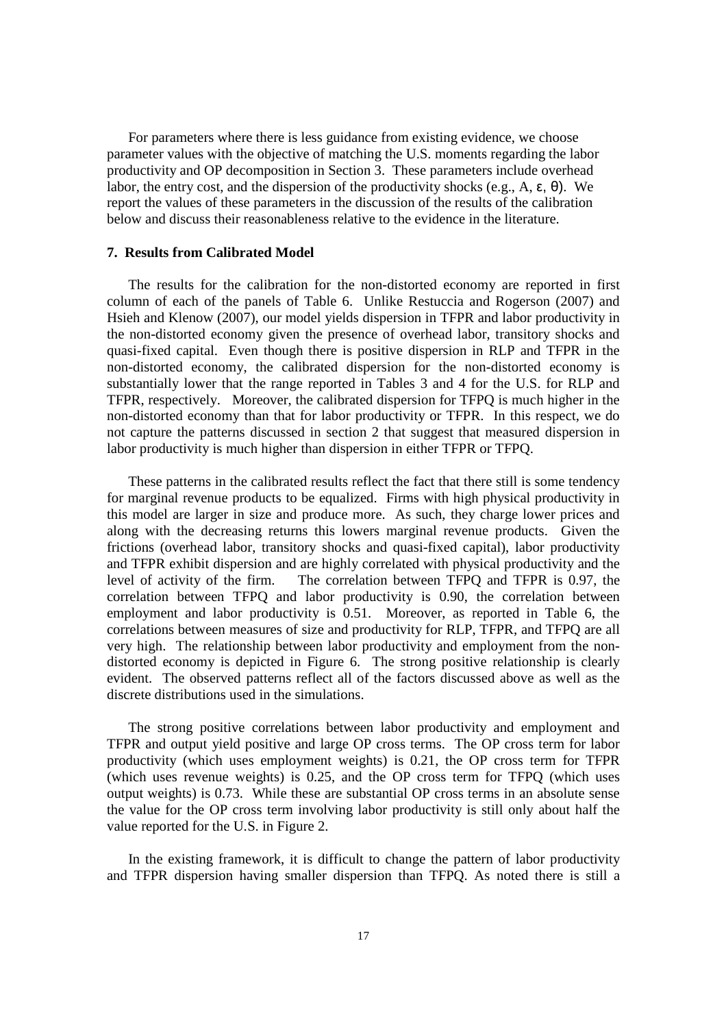For parameters where there is less guidance from existing evidence, we choose parameter values with the objective of matching the U.S. moments regarding the labor productivity and OP decomposition in Section 3. These parameters include overhead labor, the entry cost, and the dispersion of the productivity shocks (e.g., A,  $\varepsilon$ ,  $\theta$ ). We report the values of these parameters in the discussion of the results of the calibration below and discuss their reasonableness relative to the evidence in the literature.

#### **7. Results from Calibrated Model**

The results for the calibration for the non-distorted economy are reported in first column of each of the panels of Table 6. Unlike Restuccia and Rogerson (2007) and Hsieh and Klenow (2007), our model yields dispersion in TFPR and labor productivity in the non-distorted economy given the presence of overhead labor, transitory shocks and quasi-fixed capital. Even though there is positive dispersion in RLP and TFPR in the non-distorted economy, the calibrated dispersion for the non-distorted economy is substantially lower that the range reported in Tables 3 and 4 for the U.S. for RLP and TFPR, respectively. Moreover, the calibrated dispersion for TFPQ is much higher in the non-distorted economy than that for labor productivity or TFPR. In this respect, we do not capture the patterns discussed in section 2 that suggest that measured dispersion in labor productivity is much higher than dispersion in either TFPR or TFPQ.

These patterns in the calibrated results reflect the fact that there still is some tendency for marginal revenue products to be equalized. Firms with high physical productivity in this model are larger in size and produce more. As such, they charge lower prices and along with the decreasing returns this lowers marginal revenue products. Given the frictions (overhead labor, transitory shocks and quasi-fixed capital), labor productivity and TFPR exhibit dispersion and are highly correlated with physical productivity and the level of activity of the firm. The correlation between TFPQ and TFPR is 0.97, the correlation between TFPQ and labor productivity is 0.90, the correlation between employment and labor productivity is 0.51. Moreover, as reported in Table 6, the correlations between measures of size and productivity for RLP, TFPR, and TFPQ are all very high. The relationship between labor productivity and employment from the nondistorted economy is depicted in Figure 6. The strong positive relationship is clearly evident. The observed patterns reflect all of the factors discussed above as well as the discrete distributions used in the simulations.

The strong positive correlations between labor productivity and employment and TFPR and output yield positive and large OP cross terms. The OP cross term for labor productivity (which uses employment weights) is 0.21, the OP cross term for TFPR (which uses revenue weights) is 0.25, and the OP cross term for TFPQ (which uses output weights) is 0.73. While these are substantial OP cross terms in an absolute sense the value for the OP cross term involving labor productivity is still only about half the value reported for the U.S. in Figure 2.

In the existing framework, it is difficult to change the pattern of labor productivity and TFPR dispersion having smaller dispersion than TFPQ. As noted there is still a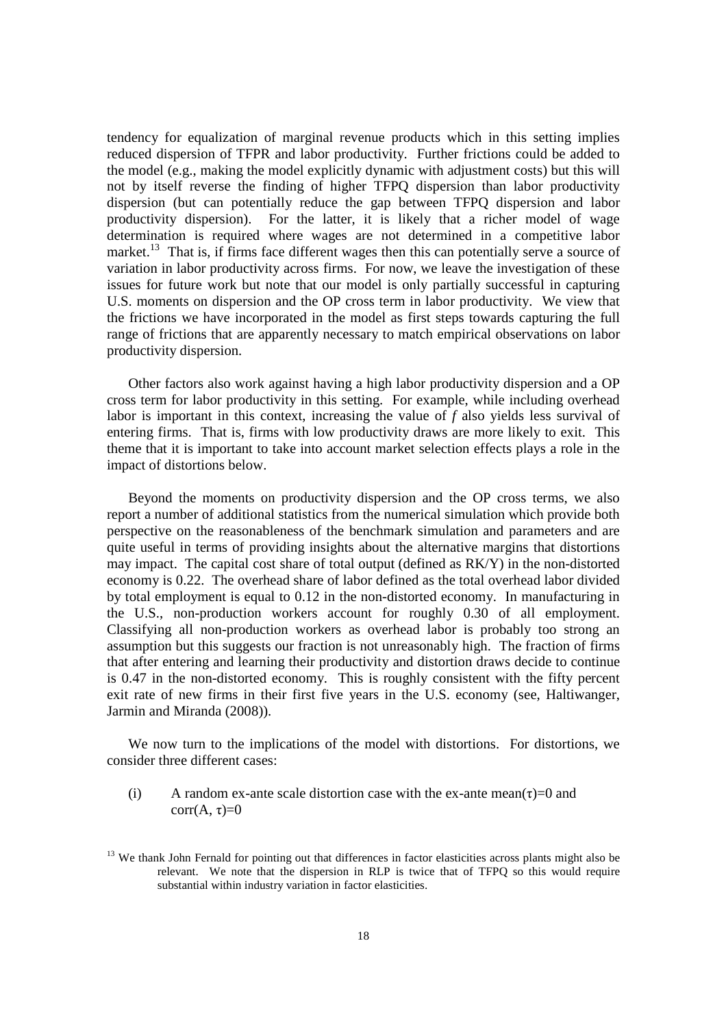tendency for equalization of marginal revenue products which in this setting implies reduced dispersion of TFPR and labor productivity. Further frictions could be added to the model (e.g., making the model explicitly dynamic with adjustment costs) but this will not by itself reverse the finding of higher TFPQ dispersion than labor productivity dispersion (but can potentially reduce the gap between TFPQ dispersion and labor productivity dispersion). For the latter, it is likely that a richer model of wage determination is required where wages are not determined in a competitive labor market.<sup>13</sup> That is, if firms face different wages then this can potentially serve a source of variation in labor productivity across firms. For now, we leave the investigation of these issues for future work but note that our model is only partially successful in capturing U.S. moments on dispersion and the OP cross term in labor productivity. We view that the frictions we have incorporated in the model as first steps towards capturing the full range of frictions that are apparently necessary to match empirical observations on labor productivity dispersion.

Other factors also work against having a high labor productivity dispersion and a OP cross term for labor productivity in this setting. For example, while including overhead labor is important in this context, increasing the value of *f* also yields less survival of entering firms. That is, firms with low productivity draws are more likely to exit. This theme that it is important to take into account market selection effects plays a role in the impact of distortions below.

Beyond the moments on productivity dispersion and the OP cross terms, we also report a number of additional statistics from the numerical simulation which provide both perspective on the reasonableness of the benchmark simulation and parameters and are quite useful in terms of providing insights about the alternative margins that distortions may impact. The capital cost share of total output (defined as RK/Y) in the non-distorted economy is 0.22. The overhead share of labor defined as the total overhead labor divided by total employment is equal to 0.12 in the non-distorted economy. In manufacturing in the U.S., non-production workers account for roughly 0.30 of all employment. Classifying all non-production workers as overhead labor is probably too strong an assumption but this suggests our fraction is not unreasonably high. The fraction of firms that after entering and learning their productivity and distortion draws decide to continue is 0.47 in the non-distorted economy. This is roughly consistent with the fifty percent exit rate of new firms in their first five years in the U.S. economy (see, Haltiwanger, Jarmin and Miranda (2008)).

We now turn to the implications of the model with distortions. For distortions, we consider three different cases:

(i) A random ex-ante scale distortion case with the ex-ante mean( $\tau$ )=0 and corr(A,  $\tau$ )=0

<sup>&</sup>lt;sup>13</sup> We thank John Fernald for pointing out that differences in factor elasticities across plants might also be relevant. We note that the dispersion in RLP is twice that of TFPQ so this would require substantial within industry variation in factor elasticities.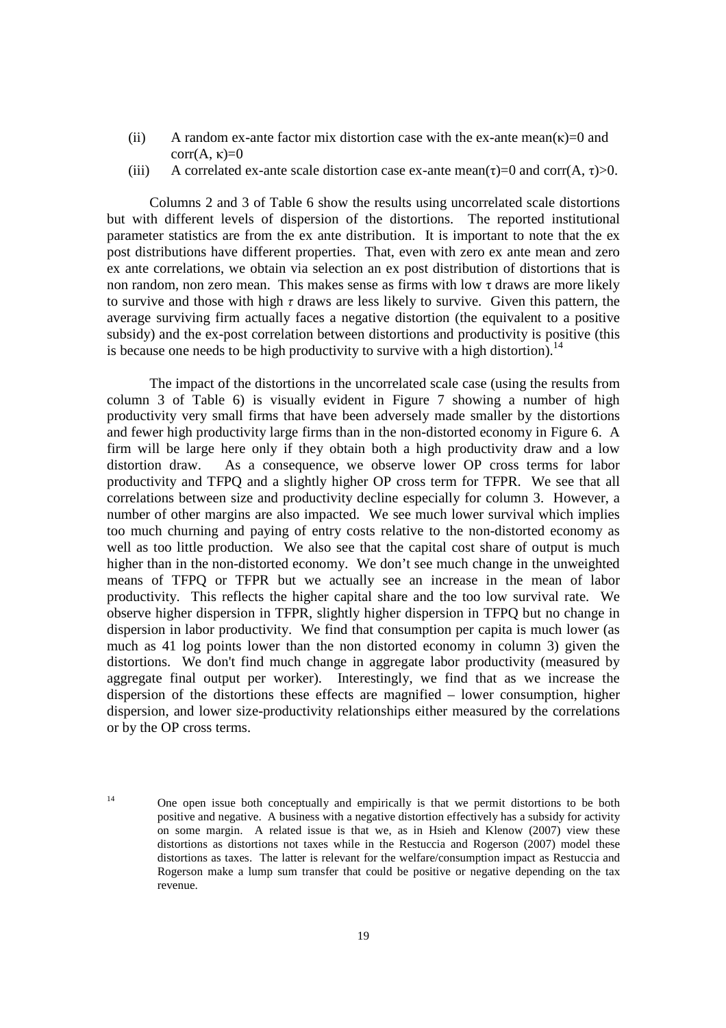- (ii) A random ex-ante factor mix distortion case with the ex-ante mean( $\kappa$ )=0 and corr(A, κ)= $0$
- (iii) A correlated ex-ante scale distortion case ex-ante mean( $\tau$ )=0 and corr(A,  $\tau$ )>0.

 Columns 2 and 3 of Table 6 show the results using uncorrelated scale distortions but with different levels of dispersion of the distortions. The reported institutional parameter statistics are from the ex ante distribution. It is important to note that the ex post distributions have different properties. That, even with zero ex ante mean and zero ex ante correlations, we obtain via selection an ex post distribution of distortions that is non random, non zero mean. This makes sense as firms with low  $\tau$  draws are more likely to survive and those with high  $\tau$  draws are less likely to survive. Given this pattern, the average surviving firm actually faces a negative distortion (the equivalent to a positive subsidy) and the ex-post correlation between distortions and productivity is positive (this is because one needs to be high productivity to survive with a high distortion).<sup>14</sup>

 The impact of the distortions in the uncorrelated scale case (using the results from column 3 of Table 6) is visually evident in Figure 7 showing a number of high productivity very small firms that have been adversely made smaller by the distortions and fewer high productivity large firms than in the non-distorted economy in Figure 6. A firm will be large here only if they obtain both a high productivity draw and a low distortion draw. As a consequence, we observe lower OP cross terms for labor productivity and TFPQ and a slightly higher OP cross term for TFPR. We see that all correlations between size and productivity decline especially for column 3. However, a number of other margins are also impacted. We see much lower survival which implies too much churning and paying of entry costs relative to the non-distorted economy as well as too little production. We also see that the capital cost share of output is much higher than in the non-distorted economy. We don't see much change in the unweighted means of TFPQ or TFPR but we actually see an increase in the mean of labor productivity. This reflects the higher capital share and the too low survival rate. We observe higher dispersion in TFPR, slightly higher dispersion in TFPQ but no change in dispersion in labor productivity. We find that consumption per capita is much lower (as much as 41 log points lower than the non distorted economy in column 3) given the distortions. We don't find much change in aggregate labor productivity (measured by aggregate final output per worker). Interestingly, we find that as we increase the dispersion of the distortions these effects are magnified – lower consumption, higher dispersion, and lower size-productivity relationships either measured by the correlations or by the OP cross terms.

<sup>14</sup> One open issue both conceptually and empirically is that we permit distortions to be both positive and negative. A business with a negative distortion effectively has a subsidy for activity on some margin. A related issue is that we, as in Hsieh and Klenow (2007) view these distortions as distortions not taxes while in the Restuccia and Rogerson (2007) model these distortions as taxes. The latter is relevant for the welfare/consumption impact as Restuccia and Rogerson make a lump sum transfer that could be positive or negative depending on the tax revenue.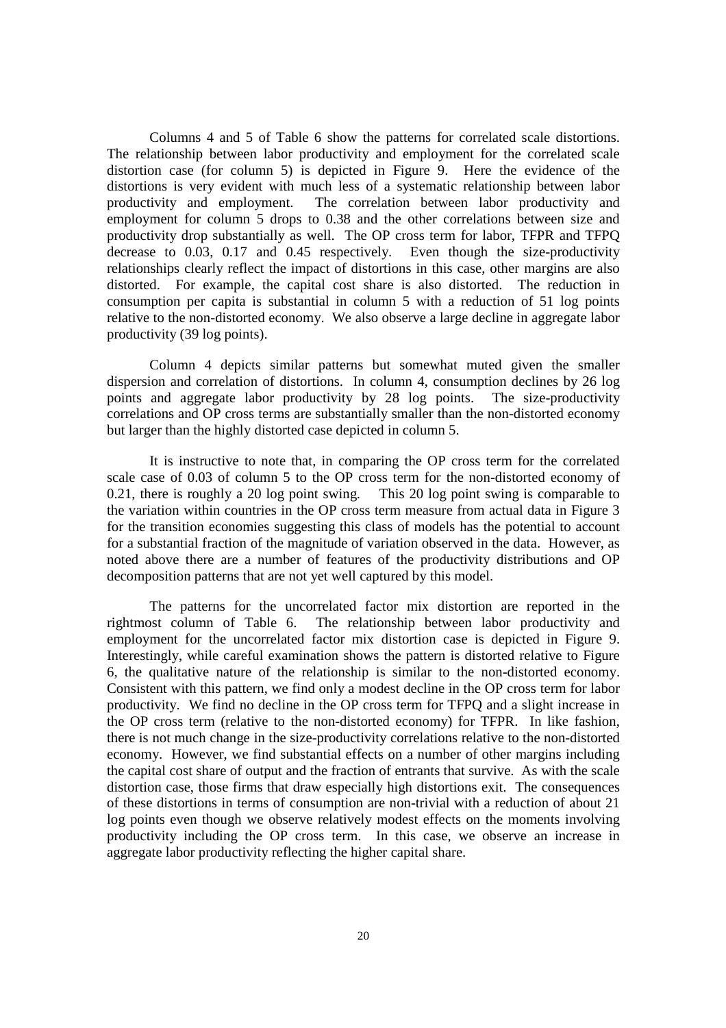Columns 4 and 5 of Table 6 show the patterns for correlated scale distortions. The relationship between labor productivity and employment for the correlated scale distortion case (for column 5) is depicted in Figure 9. Here the evidence of the distortions is very evident with much less of a systematic relationship between labor productivity and employment. The correlation between labor productivity and employment for column 5 drops to 0.38 and the other correlations between size and productivity drop substantially as well. The OP cross term for labor, TFPR and TFPQ decrease to 0.03, 0.17 and 0.45 respectively. Even though the size-productivity relationships clearly reflect the impact of distortions in this case, other margins are also distorted. For example, the capital cost share is also distorted. The reduction in consumption per capita is substantial in column 5 with a reduction of 51 log points relative to the non-distorted economy. We also observe a large decline in aggregate labor productivity (39 log points).

Column 4 depicts similar patterns but somewhat muted given the smaller dispersion and correlation of distortions. In column 4, consumption declines by 26 log points and aggregate labor productivity by 28 log points. The size-productivity correlations and OP cross terms are substantially smaller than the non-distorted economy but larger than the highly distorted case depicted in column 5.

 It is instructive to note that, in comparing the OP cross term for the correlated scale case of 0.03 of column 5 to the OP cross term for the non-distorted economy of 0.21, there is roughly a 20 log point swing. This 20 log point swing is comparable to the variation within countries in the OP cross term measure from actual data in Figure 3 for the transition economies suggesting this class of models has the potential to account for a substantial fraction of the magnitude of variation observed in the data. However, as noted above there are a number of features of the productivity distributions and OP decomposition patterns that are not yet well captured by this model.

 The patterns for the uncorrelated factor mix distortion are reported in the rightmost column of Table 6. The relationship between labor productivity and employment for the uncorrelated factor mix distortion case is depicted in Figure 9. Interestingly, while careful examination shows the pattern is distorted relative to Figure 6, the qualitative nature of the relationship is similar to the non-distorted economy. Consistent with this pattern, we find only a modest decline in the OP cross term for labor productivity. We find no decline in the OP cross term for TFPQ and a slight increase in the OP cross term (relative to the non-distorted economy) for TFPR. In like fashion, there is not much change in the size-productivity correlations relative to the non-distorted economy. However, we find substantial effects on a number of other margins including the capital cost share of output and the fraction of entrants that survive. As with the scale distortion case, those firms that draw especially high distortions exit. The consequences of these distortions in terms of consumption are non-trivial with a reduction of about 21 log points even though we observe relatively modest effects on the moments involving productivity including the OP cross term. In this case, we observe an increase in aggregate labor productivity reflecting the higher capital share.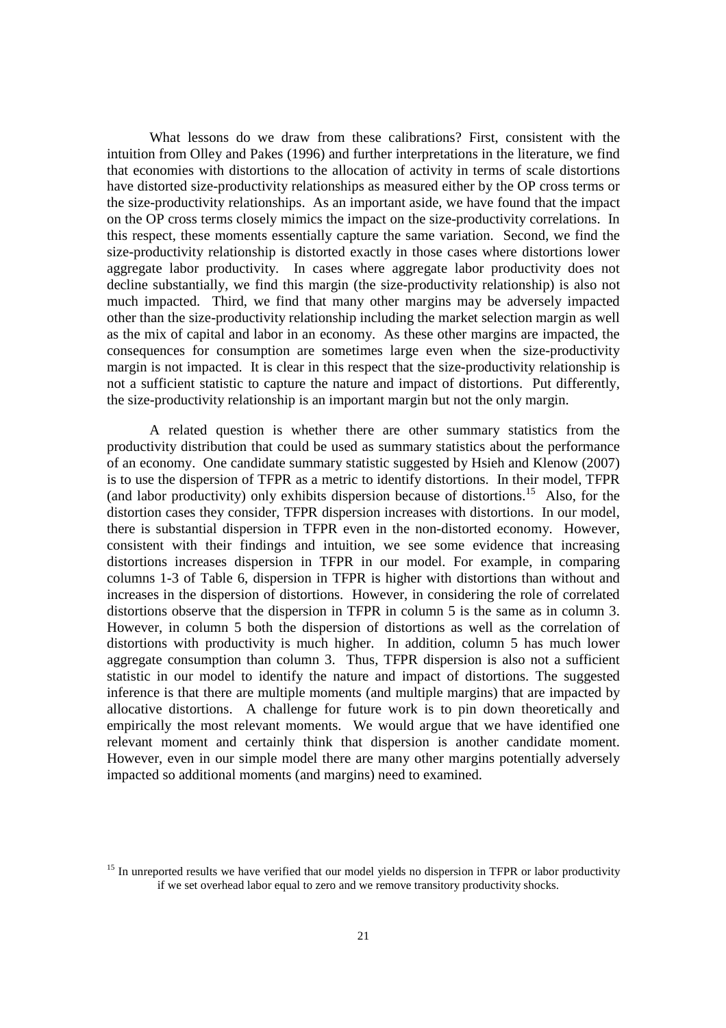What lessons do we draw from these calibrations? First, consistent with the intuition from Olley and Pakes (1996) and further interpretations in the literature, we find that economies with distortions to the allocation of activity in terms of scale distortions have distorted size-productivity relationships as measured either by the OP cross terms or the size-productivity relationships. As an important aside, we have found that the impact on the OP cross terms closely mimics the impact on the size-productivity correlations. In this respect, these moments essentially capture the same variation. Second, we find the size-productivity relationship is distorted exactly in those cases where distortions lower aggregate labor productivity. In cases where aggregate labor productivity does not decline substantially, we find this margin (the size-productivity relationship) is also not much impacted. Third, we find that many other margins may be adversely impacted other than the size-productivity relationship including the market selection margin as well as the mix of capital and labor in an economy. As these other margins are impacted, the consequences for consumption are sometimes large even when the size-productivity margin is not impacted. It is clear in this respect that the size-productivity relationship is not a sufficient statistic to capture the nature and impact of distortions. Put differently, the size-productivity relationship is an important margin but not the only margin.

 A related question is whether there are other summary statistics from the productivity distribution that could be used as summary statistics about the performance of an economy. One candidate summary statistic suggested by Hsieh and Klenow (2007) is to use the dispersion of TFPR as a metric to identify distortions. In their model, TFPR (and labor productivity) only exhibits dispersion because of distortions.<sup>15</sup> Also, for the distortion cases they consider, TFPR dispersion increases with distortions. In our model, there is substantial dispersion in TFPR even in the non-distorted economy. However, consistent with their findings and intuition, we see some evidence that increasing distortions increases dispersion in TFPR in our model. For example, in comparing columns 1-3 of Table 6, dispersion in TFPR is higher with distortions than without and increases in the dispersion of distortions. However, in considering the role of correlated distortions observe that the dispersion in TFPR in column 5 is the same as in column 3. However, in column 5 both the dispersion of distortions as well as the correlation of distortions with productivity is much higher. In addition, column 5 has much lower aggregate consumption than column 3. Thus, TFPR dispersion is also not a sufficient statistic in our model to identify the nature and impact of distortions. The suggested inference is that there are multiple moments (and multiple margins) that are impacted by allocative distortions. A challenge for future work is to pin down theoretically and empirically the most relevant moments. We would argue that we have identified one relevant moment and certainly think that dispersion is another candidate moment. However, even in our simple model there are many other margins potentially adversely impacted so additional moments (and margins) need to examined.

<sup>&</sup>lt;sup>15</sup> In unreported results we have verified that our model yields no dispersion in TFPR or labor productivity if we set overhead labor equal to zero and we remove transitory productivity shocks.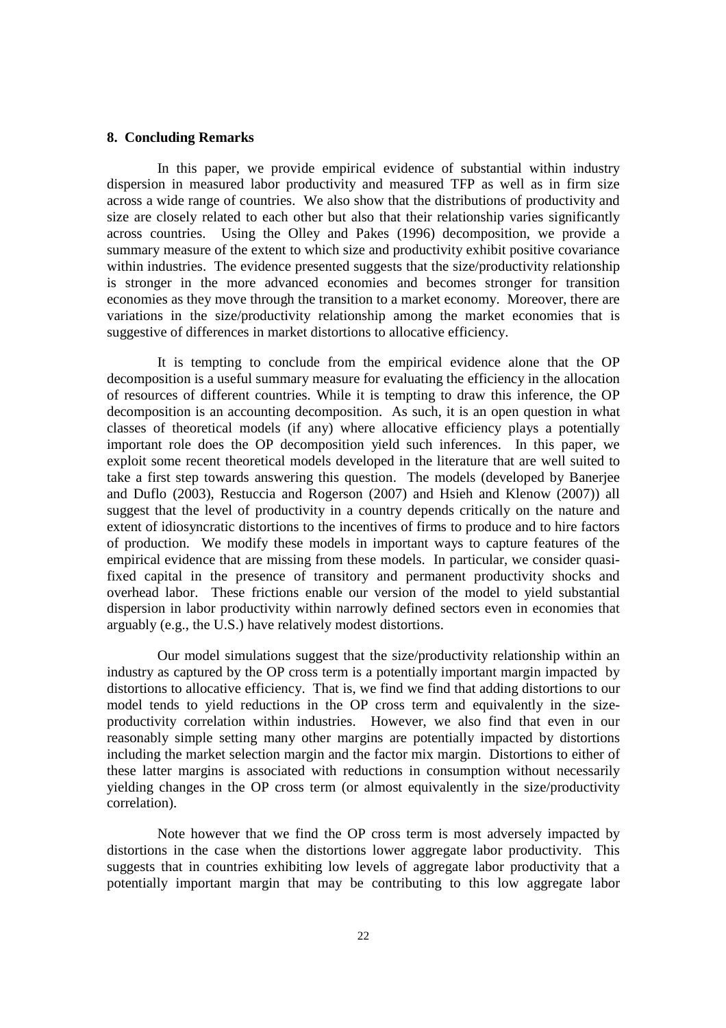#### **8. Concluding Remarks**

In this paper, we provide empirical evidence of substantial within industry dispersion in measured labor productivity and measured TFP as well as in firm size across a wide range of countries. We also show that the distributions of productivity and size are closely related to each other but also that their relationship varies significantly across countries. Using the Olley and Pakes (1996) decomposition, we provide a summary measure of the extent to which size and productivity exhibit positive covariance within industries. The evidence presented suggests that the size/productivity relationship is stronger in the more advanced economies and becomes stronger for transition economies as they move through the transition to a market economy. Moreover, there are variations in the size/productivity relationship among the market economies that is suggestive of differences in market distortions to allocative efficiency.

 It is tempting to conclude from the empirical evidence alone that the OP decomposition is a useful summary measure for evaluating the efficiency in the allocation of resources of different countries. While it is tempting to draw this inference, the OP decomposition is an accounting decomposition. As such, it is an open question in what classes of theoretical models (if any) where allocative efficiency plays a potentially important role does the OP decomposition yield such inferences. In this paper, we exploit some recent theoretical models developed in the literature that are well suited to take a first step towards answering this question. The models (developed by Banerjee and Duflo (2003), Restuccia and Rogerson (2007) and Hsieh and Klenow (2007)) all suggest that the level of productivity in a country depends critically on the nature and extent of idiosyncratic distortions to the incentives of firms to produce and to hire factors of production. We modify these models in important ways to capture features of the empirical evidence that are missing from these models. In particular, we consider quasifixed capital in the presence of transitory and permanent productivity shocks and overhead labor. These frictions enable our version of the model to yield substantial dispersion in labor productivity within narrowly defined sectors even in economies that arguably (e.g., the U.S.) have relatively modest distortions.

 Our model simulations suggest that the size/productivity relationship within an industry as captured by the OP cross term is a potentially important margin impacted by distortions to allocative efficiency. That is, we find we find that adding distortions to our model tends to yield reductions in the OP cross term and equivalently in the sizeproductivity correlation within industries. However, we also find that even in our reasonably simple setting many other margins are potentially impacted by distortions including the market selection margin and the factor mix margin. Distortions to either of these latter margins is associated with reductions in consumption without necessarily yielding changes in the OP cross term (or almost equivalently in the size/productivity correlation).

 Note however that we find the OP cross term is most adversely impacted by distortions in the case when the distortions lower aggregate labor productivity. This suggests that in countries exhibiting low levels of aggregate labor productivity that a potentially important margin that may be contributing to this low aggregate labor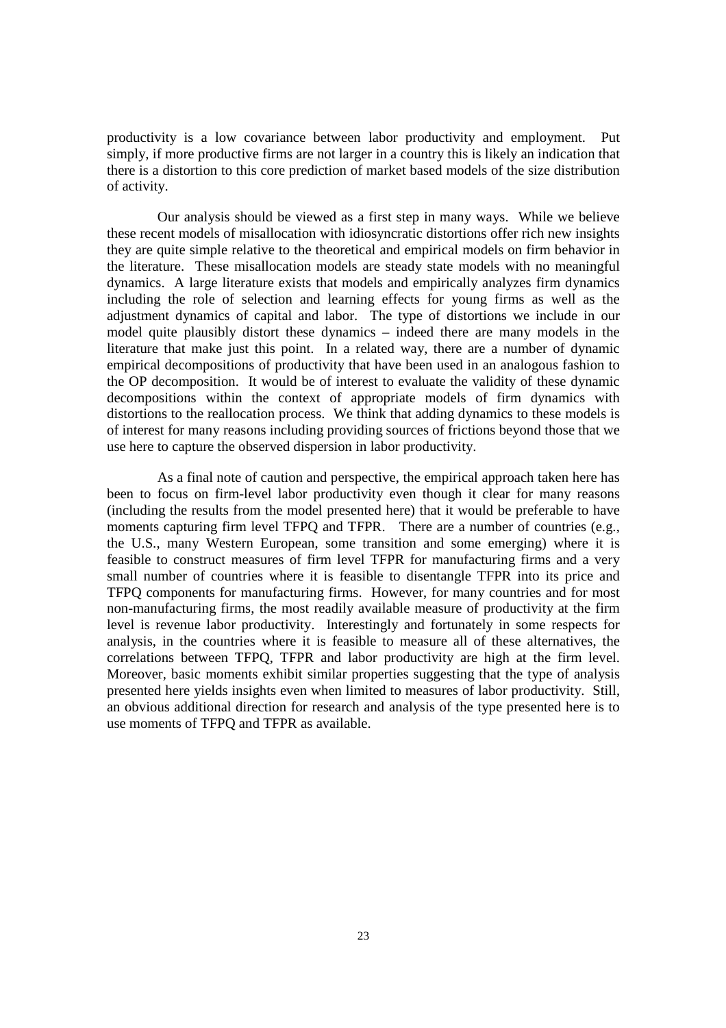productivity is a low covariance between labor productivity and employment. Put simply, if more productive firms are not larger in a country this is likely an indication that there is a distortion to this core prediction of market based models of the size distribution of activity.

 Our analysis should be viewed as a first step in many ways. While we believe these recent models of misallocation with idiosyncratic distortions offer rich new insights they are quite simple relative to the theoretical and empirical models on firm behavior in the literature. These misallocation models are steady state models with no meaningful dynamics. A large literature exists that models and empirically analyzes firm dynamics including the role of selection and learning effects for young firms as well as the adjustment dynamics of capital and labor. The type of distortions we include in our model quite plausibly distort these dynamics – indeed there are many models in the literature that make just this point. In a related way, there are a number of dynamic empirical decompositions of productivity that have been used in an analogous fashion to the OP decomposition. It would be of interest to evaluate the validity of these dynamic decompositions within the context of appropriate models of firm dynamics with distortions to the reallocation process. We think that adding dynamics to these models is of interest for many reasons including providing sources of frictions beyond those that we use here to capture the observed dispersion in labor productivity.

 As a final note of caution and perspective, the empirical approach taken here has been to focus on firm-level labor productivity even though it clear for many reasons (including the results from the model presented here) that it would be preferable to have moments capturing firm level TFPQ and TFPR. There are a number of countries (e.g., the U.S., many Western European, some transition and some emerging) where it is feasible to construct measures of firm level TFPR for manufacturing firms and a very small number of countries where it is feasible to disentangle TFPR into its price and TFPQ components for manufacturing firms. However, for many countries and for most non-manufacturing firms, the most readily available measure of productivity at the firm level is revenue labor productivity. Interestingly and fortunately in some respects for analysis, in the countries where it is feasible to measure all of these alternatives, the correlations between TFPQ, TFPR and labor productivity are high at the firm level. Moreover, basic moments exhibit similar properties suggesting that the type of analysis presented here yields insights even when limited to measures of labor productivity. Still, an obvious additional direction for research and analysis of the type presented here is to use moments of TFPQ and TFPR as available.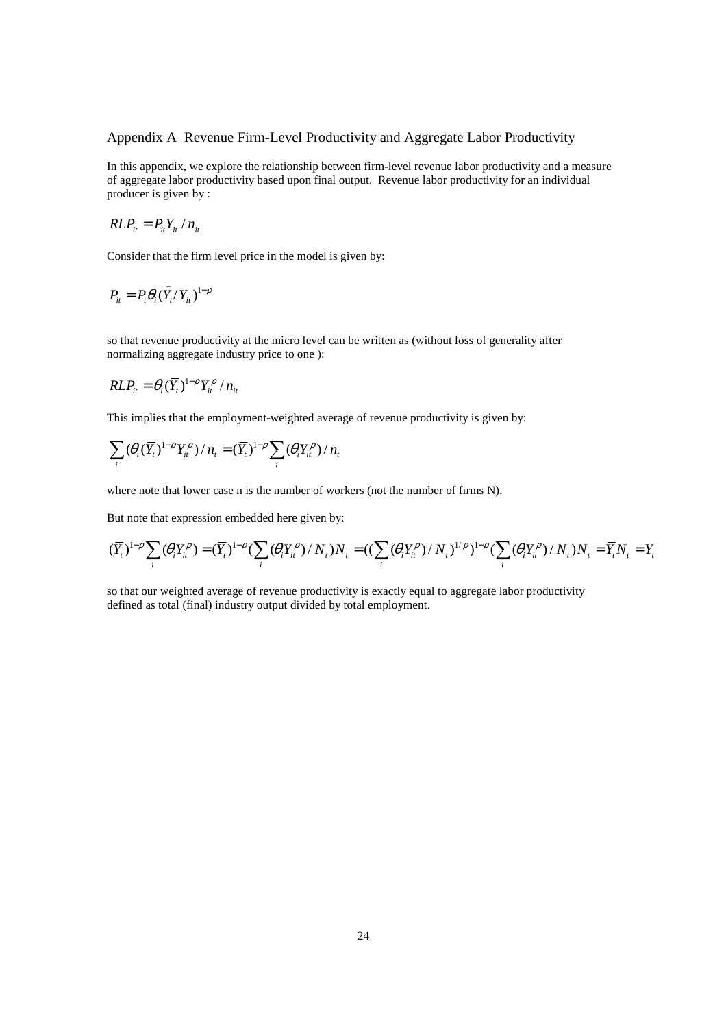#### Appendix A Revenue Firm-Level Productivity and Aggregate Labor Productivity

In this appendix, we explore the relationship between firm-level revenue labor productivity and a measure of aggregate labor productivity based upon final output. Revenue labor productivity for an individual producer is given by :

$$
RLP_{it} = P_{it}Y_{it} / n_{it}
$$

Consider that the firm level price in the model is given by:

$$
P_{it} = P_t \theta_i (\bar{Y}_t / Y_{it})^{1-\rho}
$$

so that revenue productivity at the micro level can be written as (without loss of generality after normalizing aggregate industry price to one ):

$$
RLP_{it} = \theta_i (\overline{Y}_t)^{1-\rho} Y_{it}^{\rho} / n_{it}
$$

This implies that the employment-weighted average of revenue productivity is given by:

$$
\sum_i (\theta_i (\overline{Y}_t)^{1-\rho} Y_i^{\rho})/n_t = (\overline{Y}_t)^{1-\rho} \sum_i (\theta_i Y_{it}^{\rho})/n_t
$$

where note that lower case n is the number of workers (not the number of firms N).

But note that expression embedded here given by:

$$
(\overline{Y}_t)^{1-\rho}\sum_i(\theta_iY_{it}^{\rho})=(\overline{Y}_t)^{1-\rho}\left(\sum_i(\theta_iY_{it}^{\rho})/N_t\right)N_t=\left(\left(\sum_i(\theta_iY_{it}^{\rho})/N_t\right)^{1/\rho}\right)^{1-\rho}\left(\sum_i(\theta_iY_{it}^{\rho})/N_t\right)N_t=\overline{Y}_tN_t=Y_t
$$

so that our weighted average of revenue productivity is exactly equal to aggregate labor productivity defined as total (final) industry output divided by total employment.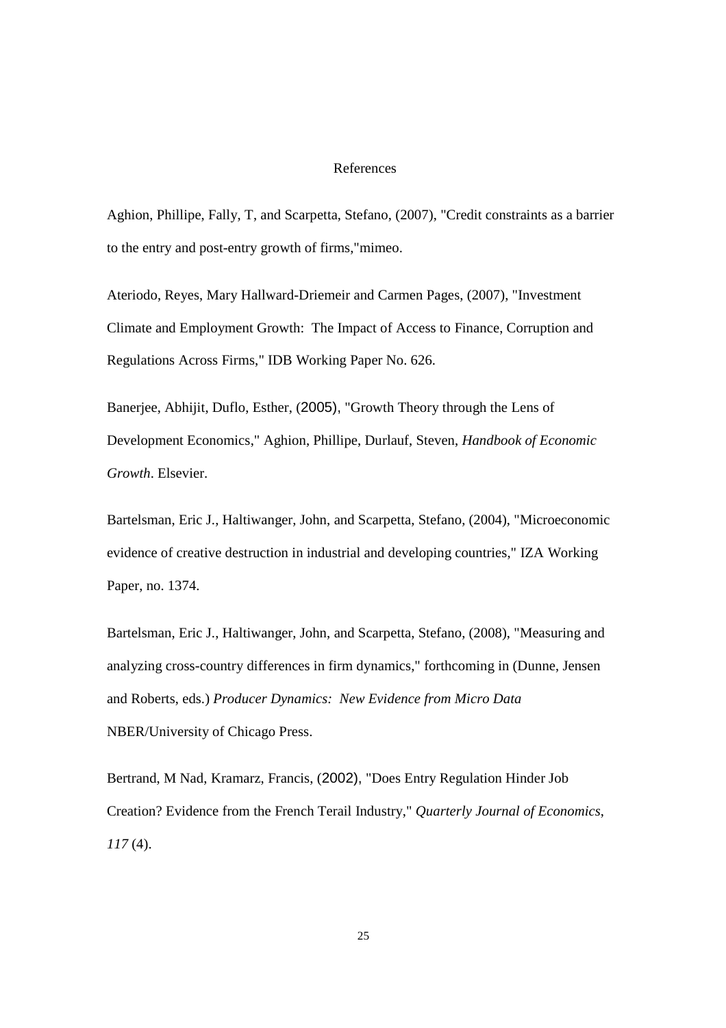#### References

Aghion, Phillipe, Fally, T, and Scarpetta, Stefano, (2007), "Credit constraints as a barrier to the entry and post-entry growth of firms,"mimeo.

Ateriodo, Reyes, Mary Hallward-Driemeir and Carmen Pages, (2007), "Investment Climate and Employment Growth: The Impact of Access to Finance, Corruption and Regulations Across Firms," IDB Working Paper No. 626.

Banerjee, Abhijit, Duflo, Esther, (2005), "Growth Theory through the Lens of Development Economics," Aghion, Phillipe, Durlauf, Steven, *Handbook of Economic Growth*. Elsevier.

Bartelsman, Eric J., Haltiwanger, John, and Scarpetta, Stefano, (2004), "Microeconomic evidence of creative destruction in industrial and developing countries," IZA Working Paper, no. 1374.

Bartelsman, Eric J., Haltiwanger, John, and Scarpetta, Stefano, (2008), "Measuring and analyzing cross-country differences in firm dynamics," forthcoming in (Dunne, Jensen and Roberts, eds.) *Producer Dynamics: New Evidence from Micro Data* NBER/University of Chicago Press.

Bertrand, M Nad, Kramarz, Francis, (2002), "Does Entry Regulation Hinder Job Creation? Evidence from the French Terail Industry," *Quarterly Journal of Economics*, *117* (4).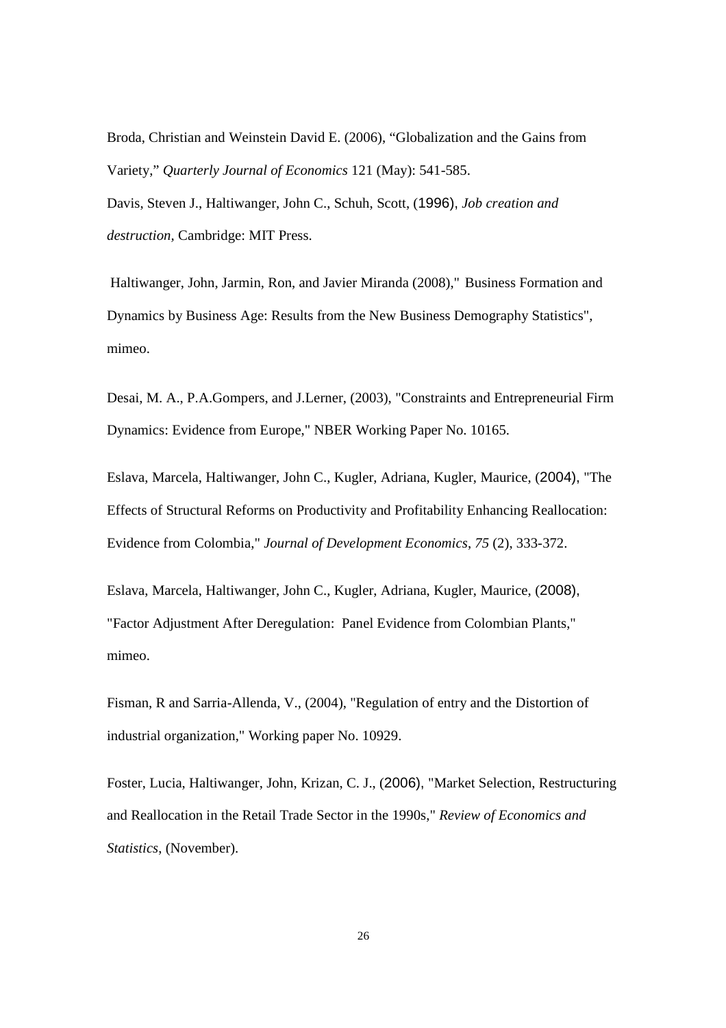Broda, Christian and Weinstein David E. (2006), "Globalization and the Gains from Variety," *Quarterly Journal of Economics* 121 (May): 541-585. Davis, Steven J., Haltiwanger, John C., Schuh, Scott, (1996), *Job creation and destruction,* Cambridge: MIT Press.

 Haltiwanger, John, Jarmin, Ron, and Javier Miranda (2008)," Business Formation and Dynamics by Business Age: Results from the New Business Demography Statistics", mimeo.

Desai, M. A., P.A.Gompers, and J.Lerner, (2003), "Constraints and Entrepreneurial Firm Dynamics: Evidence from Europe," NBER Working Paper No. 10165.

Eslava, Marcela, Haltiwanger, John C., Kugler, Adriana, Kugler, Maurice, (2004), "The Effects of Structural Reforms on Productivity and Profitability Enhancing Reallocation: Evidence from Colombia," *Journal of Development Economics*, *75* (2), 333-372.

Eslava, Marcela, Haltiwanger, John C., Kugler, Adriana, Kugler, Maurice, (2008), "Factor Adjustment After Deregulation: Panel Evidence from Colombian Plants," mimeo.

Fisman, R and Sarria-Allenda, V., (2004), "Regulation of entry and the Distortion of industrial organization," Working paper No. 10929.

Foster, Lucia, Haltiwanger, John, Krizan, C. J., (2006), "Market Selection, Restructuring and Reallocation in the Retail Trade Sector in the 1990s," *Review of Economics and Statistics*, (November).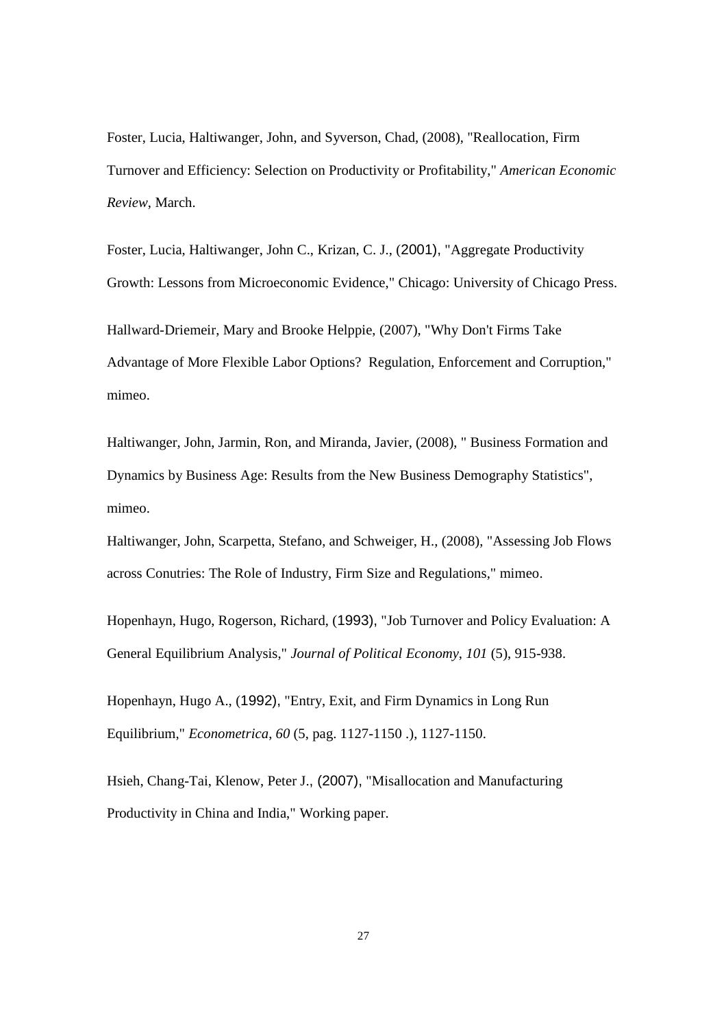Foster, Lucia, Haltiwanger, John, and Syverson, Chad, (2008), "Reallocation, Firm Turnover and Efficiency: Selection on Productivity or Profitability," *American Economic Review*, March.

Foster, Lucia, Haltiwanger, John C., Krizan, C. J., (2001), "Aggregate Productivity Growth: Lessons from Microeconomic Evidence," Chicago: University of Chicago Press.

Hallward-Driemeir, Mary and Brooke Helppie, (2007), "Why Don't Firms Take Advantage of More Flexible Labor Options? Regulation, Enforcement and Corruption," mimeo.

Haltiwanger, John, Jarmin, Ron, and Miranda, Javier, (2008), " Business Formation and Dynamics by Business Age: Results from the New Business Demography Statistics", mimeo.

Haltiwanger, John, Scarpetta, Stefano, and Schweiger, H., (2008), "Assessing Job Flows across Conutries: The Role of Industry, Firm Size and Regulations," mimeo.

Hopenhayn, Hugo, Rogerson, Richard, (1993), "Job Turnover and Policy Evaluation: A General Equilibrium Analysis," *Journal of Political Economy*, *101* (5), 915-938.

Hopenhayn, Hugo A., (1992), "Entry, Exit, and Firm Dynamics in Long Run Equilibrium," *Econometrica*, *60* (5, pag. 1127-1150 .), 1127-1150.

Hsieh, Chang-Tai, Klenow, Peter J., (2007), "Misallocation and Manufacturing Productivity in China and India," Working paper.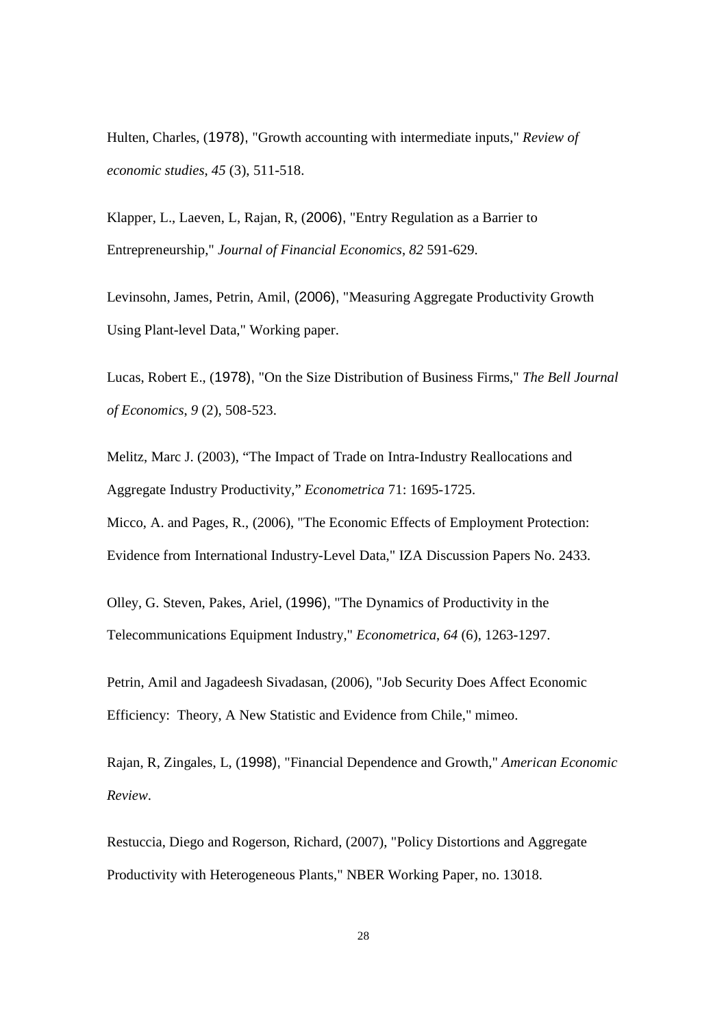Hulten, Charles, (1978), "Growth accounting with intermediate inputs," *Review of economic studies*, *45* (3), 511-518.

Klapper, L., Laeven, L, Rajan, R, (2006), "Entry Regulation as a Barrier to Entrepreneurship," *Journal of Financial Economics*, *82* 591-629.

Levinsohn, James, Petrin, Amil, (2006), "Measuring Aggregate Productivity Growth Using Plant-level Data," Working paper.

Lucas, Robert E., (1978), "On the Size Distribution of Business Firms," *The Bell Journal of Economics*, *9* (2), 508-523.

Melitz, Marc J. (2003), "The Impact of Trade on Intra-Industry Reallocations and Aggregate Industry Productivity," *Econometrica* 71: 1695-1725.

Micco, A. and Pages, R., (2006), "The Economic Effects of Employment Protection: Evidence from International Industry-Level Data," IZA Discussion Papers No. 2433.

Olley, G. Steven, Pakes, Ariel, (1996), "The Dynamics of Productivity in the Telecommunications Equipment Industry," *Econometrica*, *64* (6), 1263-1297.

Petrin, Amil and Jagadeesh Sivadasan, (2006), "Job Security Does Affect Economic Efficiency: Theory, A New Statistic and Evidence from Chile," mimeo.

Rajan, R, Zingales, L, (1998), "Financial Dependence and Growth," *American Economic Review*.

Restuccia, Diego and Rogerson, Richard, (2007), "Policy Distortions and Aggregate Productivity with Heterogeneous Plants," NBER Working Paper, no. 13018.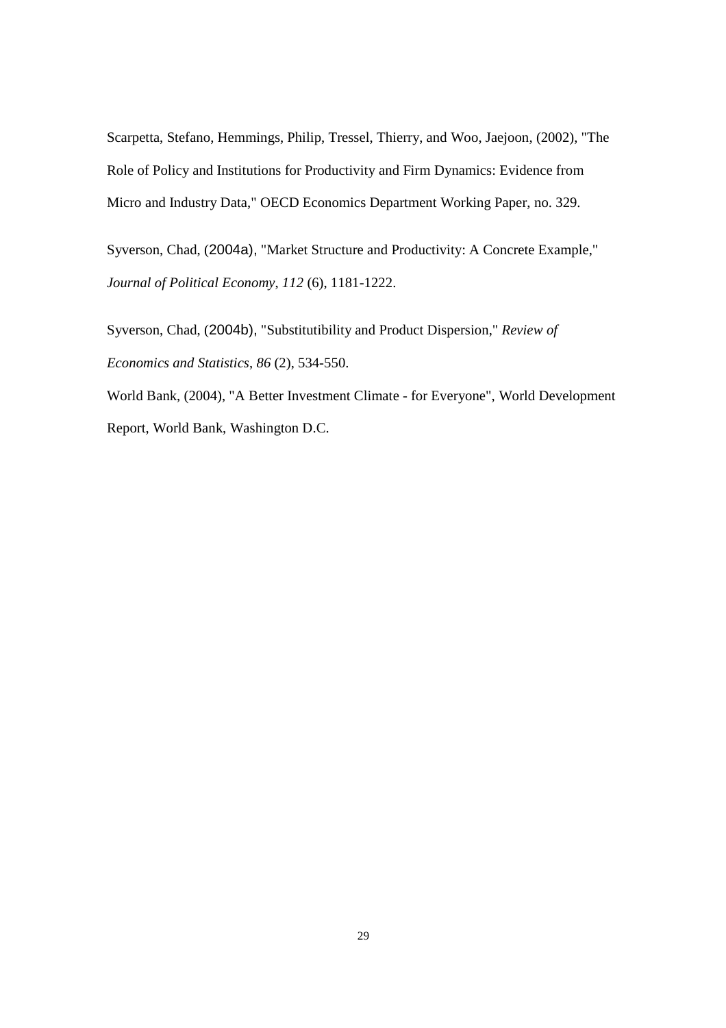Scarpetta, Stefano, Hemmings, Philip, Tressel, Thierry, and Woo, Jaejoon, (2002), "The Role of Policy and Institutions for Productivity and Firm Dynamics: Evidence from Micro and Industry Data," OECD Economics Department Working Paper, no. 329.

Syverson, Chad, (2004a), "Market Structure and Productivity: A Concrete Example," *Journal of Political Economy*, *112* (6), 1181-1222.

Syverson, Chad, (2004b), "Substitutibility and Product Dispersion," *Review of Economics and Statistics*, *86* (2), 534-550.

World Bank, (2004), "A Better Investment Climate - for Everyone", World Development Report, World Bank, Washington D.C.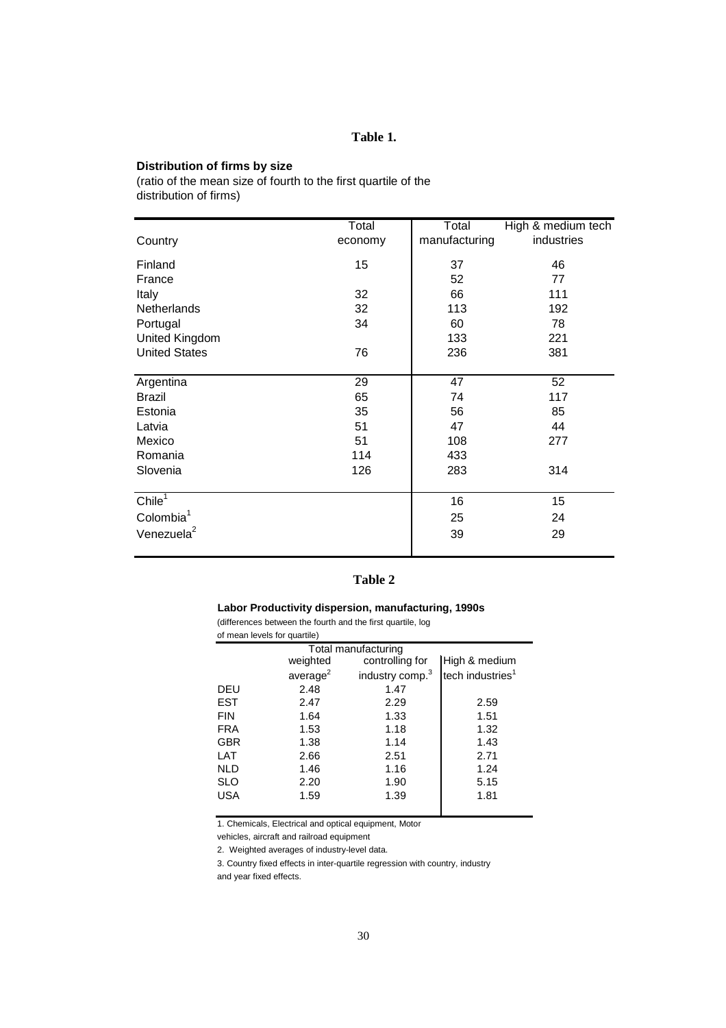#### **Table 1.**

#### **Distribution of firms by size**

(ratio of the mean size of fourth to the first quartile of the distribution of firms)

|                        | Total   | Total         | High & medium tech |
|------------------------|---------|---------------|--------------------|
| Country                | economy | manufacturing | industries         |
| Finland                | 15      | 37            | 46                 |
| France                 |         | 52            | 77                 |
| Italy                  | 32      | 66            | 111                |
| <b>Netherlands</b>     | 32      | 113           | 192                |
| Portugal               | 34      | 60            | 78                 |
| <b>United Kingdom</b>  |         | 133           | 221                |
| <b>United States</b>   | 76      | 236           | 381                |
|                        |         |               |                    |
| Argentina              | 29      | 47            | 52                 |
| <b>Brazil</b>          | 65      | 74            | 117                |
| Estonia                | 35      | 56            | 85                 |
| Latvia                 | 51      | 47            | 44                 |
| Mexico                 | 51      | 108           | 277                |
| Romania                | 114     | 433           |                    |
| Slovenia               | 126     | 283           | 314                |
|                        |         |               |                    |
| Chile $^1$             |         | 16            | 15                 |
| Colombia <sup>1</sup>  |         | 25            | 24                 |
| Venezuela <sup>2</sup> |         | 39            | 29                 |
|                        |         |               |                    |

## **Table 2**

#### **Labor Productivity dispersion, manufacturing, 1990s** (differences between the fourth and the first quartile, log

of mean levels for quartile)

|                     | $\frac{1}{2}$        |                             |                              |  |  |  |  |  |  |
|---------------------|----------------------|-----------------------------|------------------------------|--|--|--|--|--|--|
| Total manufacturing |                      |                             |                              |  |  |  |  |  |  |
|                     | weighted             | controlling for             | High & medium                |  |  |  |  |  |  |
|                     | average <sup>2</sup> | industry comp. <sup>3</sup> | tech industries <sup>1</sup> |  |  |  |  |  |  |
| DEU                 | 2.48                 | 1.47                        |                              |  |  |  |  |  |  |
| <b>EST</b>          | 2.47                 | 2.29                        | 2.59                         |  |  |  |  |  |  |
| <b>FIN</b>          | 1.64                 | 1.33                        | 1.51                         |  |  |  |  |  |  |
| <b>FRA</b>          | 1.53                 | 1.18                        | 1.32                         |  |  |  |  |  |  |
| <b>GBR</b>          | 1.38                 | 1.14                        | 1.43                         |  |  |  |  |  |  |
| LAT                 | 2.66                 | 2.51                        | 2.71                         |  |  |  |  |  |  |
| <b>NLD</b>          | 1.46                 | 1.16                        | 1.24                         |  |  |  |  |  |  |
| <b>SLO</b>          | 2.20                 | 1.90                        | 5.15                         |  |  |  |  |  |  |
| <b>USA</b>          | 1.59                 | 1.39                        | 1.81                         |  |  |  |  |  |  |
|                     |                      |                             |                              |  |  |  |  |  |  |

1. Chemicals, Electrical and optical equipment, Motor

vehicles, aircraft and railroad equipment

2. Weighted averages of industry-level data.

3. Country fixed effects in inter-quartile regression with country, industry

and year fixed effects.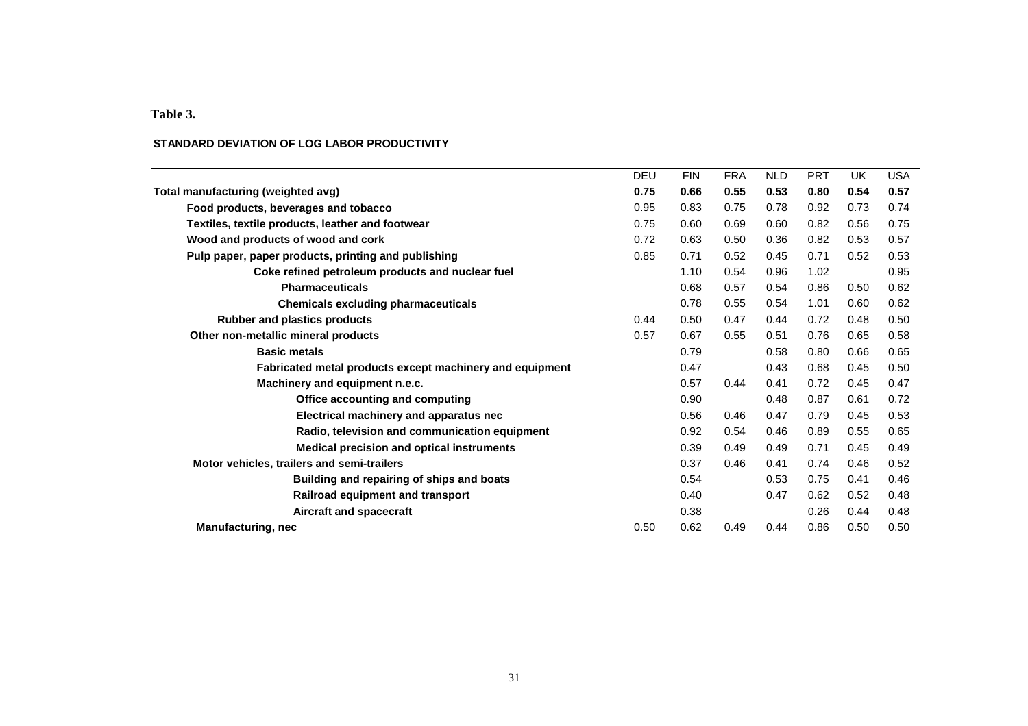## **Table 3.**

## **STANDARD DEVIATION OF LOG LABOR PRODUCTIVITY**

| <b>DEU</b> | <b>FIN</b> | <b>FRA</b> | <b>NLD</b> | <b>PRT</b> | <b>UK</b> | <b>USA</b> |
|------------|------------|------------|------------|------------|-----------|------------|
| 0.75       | 0.66       | 0.55       | 0.53       | 0.80       | 0.54      | 0.57       |
| 0.95       | 0.83       | 0.75       | 0.78       | 0.92       | 0.73      | 0.74       |
| 0.75       | 0.60       | 0.69       | 0.60       | 0.82       | 0.56      | 0.75       |
| 0.72       | 0.63       | 0.50       | 0.36       | 0.82       | 0.53      | 0.57       |
| 0.85       | 0.71       | 0.52       | 0.45       | 0.71       | 0.52      | 0.53       |
|            | 1.10       | 0.54       | 0.96       | 1.02       |           | 0.95       |
|            | 0.68       | 0.57       | 0.54       | 0.86       | 0.50      | 0.62       |
|            | 0.78       | 0.55       | 0.54       | 1.01       | 0.60      | 0.62       |
| 0.44       | 0.50       | 0.47       | 0.44       | 0.72       | 0.48      | 0.50       |
| 0.57       | 0.67       | 0.55       | 0.51       | 0.76       | 0.65      | 0.58       |
|            | 0.79       |            | 0.58       | 0.80       | 0.66      | 0.65       |
|            | 0.47       |            | 0.43       | 0.68       | 0.45      | 0.50       |
|            | 0.57       | 0.44       | 0.41       | 0.72       | 0.45      | 0.47       |
|            | 0.90       |            | 0.48       | 0.87       | 0.61      | 0.72       |
|            | 0.56       | 0.46       | 0.47       | 0.79       | 0.45      | 0.53       |
|            | 0.92       | 0.54       | 0.46       | 0.89       | 0.55      | 0.65       |
|            | 0.39       | 0.49       | 0.49       | 0.71       | 0.45      | 0.49       |
|            | 0.37       | 0.46       | 0.41       | 0.74       | 0.46      | 0.52       |
|            | 0.54       |            | 0.53       | 0.75       | 0.41      | 0.46       |
|            | 0.40       |            | 0.47       | 0.62       | 0.52      | 0.48       |
|            | 0.38       |            |            | 0.26       | 0.44      | 0.48       |
| 0.50       | 0.62       | 0.49       | 0.44       | 0.86       | 0.50      | 0.50       |
|            |            |            |            |            |           |            |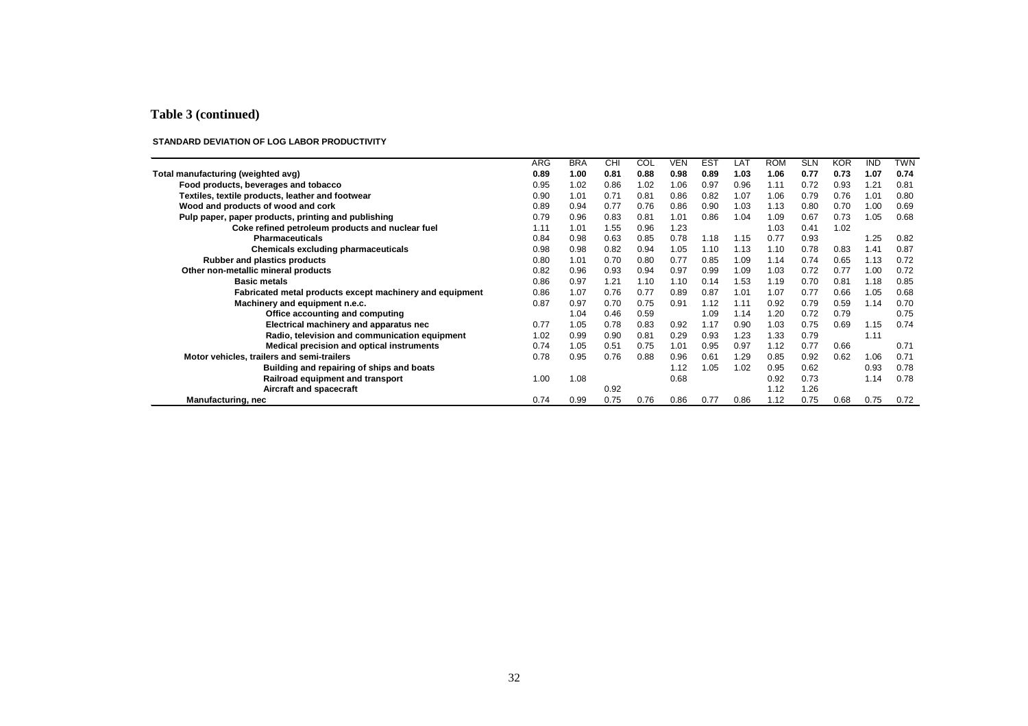#### **Table 3 (continued)**

#### **STANDARD DEVIATION OF LOG LABOR PRODUCTIVITY**

|                                                          | ARG  | <b>BRA</b> | CHI  | COL  | <b>VEN</b> | <b>EST</b> | LAT  | <b>ROM</b> | <b>SLN</b> | <b>KOR</b> | <b>IND</b> | <b>TWN</b> |
|----------------------------------------------------------|------|------------|------|------|------------|------------|------|------------|------------|------------|------------|------------|
| Total manufacturing (weighted avg)                       | 0.89 | 1.00       | 0.81 | 0.88 | 0.98       | 0.89       | 1.03 | 1.06       | 0.77       | 0.73       | 1.07       | 0.74       |
| Food products, beverages and tobacco                     | 0.95 | 1.02       | 0.86 | 1.02 | 1.06       | 0.97       | 0.96 | 1.11       | 0.72       | 0.93       | 1.21       | 0.81       |
| Textiles, textile products, leather and footwear         | 0.90 | 1.01       | 0.71 | 0.81 | 0.86       | 0.82       | 1.07 | 1.06       | 0.79       | 0.76       | 1.01       | 0.80       |
| Wood and products of wood and cork                       | 0.89 | 0.94       | 0.77 | 0.76 | 0.86       | 0.90       | 1.03 | 1.13       | 0.80       | 0.70       | 1.00       | 0.69       |
| Pulp paper, paper products, printing and publishing      | 0.79 | 0.96       | 0.83 | 0.81 | 1.01       | 0.86       | 1.04 | 1.09       | 0.67       | 0.73       | 1.05       | 0.68       |
| Coke refined petroleum products and nuclear fuel         | 1.11 | 1.01       | 1.55 | 0.96 | 1.23       |            |      | 1.03       | 0.41       | 1.02       |            |            |
| <b>Pharmaceuticals</b>                                   | 0.84 | 0.98       | 0.63 | 0.85 | 0.78       | 1.18       | 1.15 | 0.77       | 0.93       |            | 1.25       | 0.82       |
| Chemicals excluding pharmaceuticals                      | 0.98 | 0.98       | 0.82 | 0.94 | 1.05       | 1.10       | 1.13 | 1.10       | 0.78       | 0.83       | 1.41       | 0.87       |
| Rubber and plastics products                             | 0.80 | 1.01       | 0.70 | 0.80 | 0.77       | 0.85       | 1.09 | 1.14       | 0.74       | 0.65       | 1.13       | 0.72       |
| Other non-metallic mineral products                      | 0.82 | 0.96       | 0.93 | 0.94 | 0.97       | 0.99       | 1.09 | 1.03       | 0.72       | 0.77       | 1.00       | 0.72       |
| <b>Basic metals</b>                                      | 0.86 | 0.97       | 1.21 | 1.10 | 1.10       | 0.14       | 1.53 | 1.19       | 0.70       | 0.81       | 1.18       | 0.85       |
| Fabricated metal products except machinery and equipment | 0.86 | 1.07       | 0.76 | 0.77 | 0.89       | 0.87       | 1.01 | 1.07       | 0.77       | 0.66       | 1.05       | 0.68       |
| Machinery and equipment n.e.c.                           | 0.87 | 0.97       | 0.70 | 0.75 | 0.91       | 1.12       | 1.11 | 0.92       | 0.79       | 0.59       | 1.14       | 0.70       |
| Office accounting and computing                          |      | 1.04       | 0.46 | 0.59 |            | 1.09       | 1.14 | 1.20       | 0.72       | 0.79       |            | 0.75       |
| Electrical machinery and apparatus nec                   | 0.77 | 1.05       | 0.78 | 0.83 | 0.92       | 1.17       | 0.90 | 1.03       | 0.75       | 0.69       | 1.15       | 0.74       |
| Radio, television and communication equipment            | 1.02 | 0.99       | 0.90 | 0.81 | 0.29       | 0.93       | 1.23 | 1.33       | 0.79       |            | 1.11       |            |
| Medical precision and optical instruments                | 0.74 | 1.05       | 0.51 | 0.75 | 1.01       | 0.95       | 0.97 | 1.12       | 0.77       | 0.66       |            | 0.71       |
| Motor vehicles, trailers and semi-trailers               | 0.78 | 0.95       | 0.76 | 0.88 | 0.96       | 0.61       | 1.29 | 0.85       | 0.92       | 0.62       | 1.06       | 0.71       |
| Building and repairing of ships and boats                |      |            |      |      | 1.12       | 1.05       | 1.02 | 0.95       | 0.62       |            | 0.93       | 0.78       |
| Railroad equipment and transport                         | 1.00 | 1.08       |      |      | 0.68       |            |      | 0.92       | 0.73       |            | 1.14       | 0.78       |
| Aircraft and spacecraft                                  |      |            | 0.92 |      |            |            |      | 1.12       | 1.26       |            |            |            |
| <b>Manufacturing, nec</b>                                | 0.74 | 0.99       | 0.75 | 0.76 | 0.86       | 0.77       | 0.86 | 1.12       | 0.75       | 0.68       | 0.75       | 0.72       |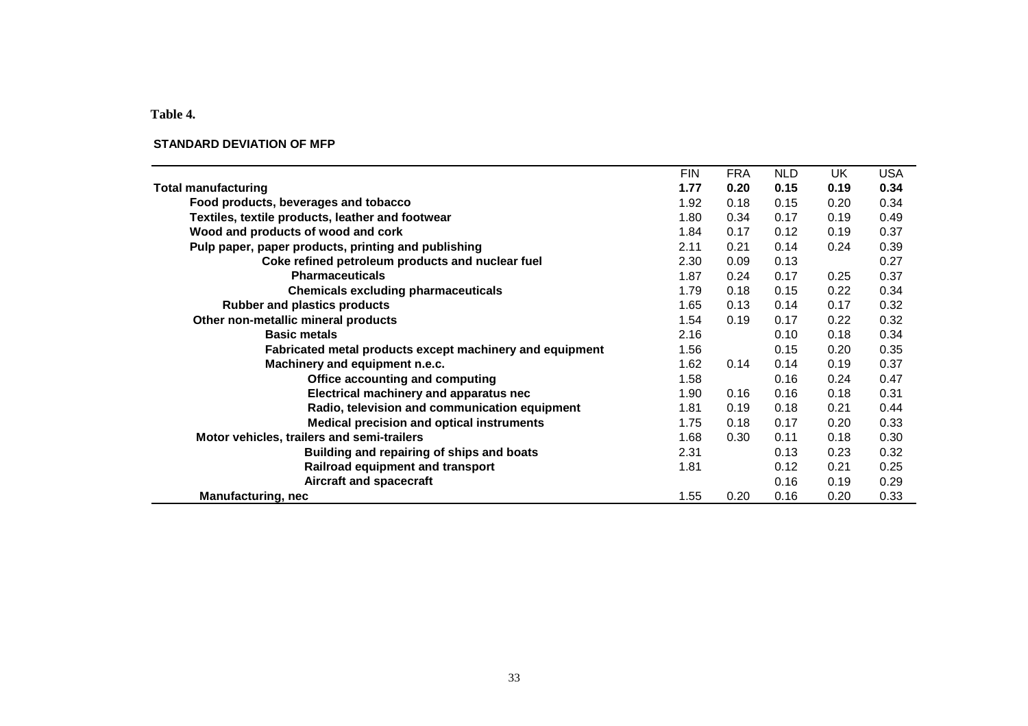**Table 4.** 

#### **STANDARD DEVIATION OF MFP**

| <b>FIN</b><br><b>FRA</b><br><b>USA</b><br><b>NLD</b><br>UK<br>0.20<br>0.15<br>0.34<br>1.77<br>0.19<br><b>Total manufacturing</b><br>0.34<br>Food products, beverages and tobacco<br>0.18<br>0.15<br>1.92<br>0.20<br>Textiles, textile products, leather and footwear<br>0.34<br>0.17<br>0.49<br>1.80<br>0.19<br>Wood and products of wood and cork<br>0.17<br>0.12<br>0.19<br>0.37<br>1.84<br>Pulp paper, paper products, printing and publishing<br>0.39<br>2.11<br>0.21<br>0.14<br>0.24<br>Coke refined petroleum products and nuclear fuel<br>2.30<br>0.09<br>0.13<br>0.27<br><b>Pharmaceuticals</b><br>0.37<br>0.24<br>0.17<br>1.87<br>0.25<br><b>Chemicals excluding pharmaceuticals</b><br>0.18<br>0.15<br>0.34<br>1.79<br>0.22<br><b>Rubber and plastics products</b><br>0.13<br>0.14<br>0.32<br>1.65<br>0.17<br>Other non-metallic mineral products<br>1.54<br>0.19<br>0.17<br>0.22<br>0.32<br><b>Basic metals</b><br>2.16<br>0.34<br>0.10<br>0.18<br>0.35<br>Fabricated metal products except machinery and equipment<br>1.56<br>0.15<br>0.20<br>0.14<br>0.37<br>Machinery and equipment n.e.c.<br>1.62<br>0.14<br>0.19<br>0.47<br>Office accounting and computing<br>1.58<br>0.16<br>0.24<br>Electrical machinery and apparatus nec<br>0.16<br>0.31<br>1.90<br>0.16<br>0.18<br>Radio, television and communication equipment<br>0.19<br>0.18<br>0.21<br>0.44<br>1.81<br><b>Medical precision and optical instruments</b><br>0.33<br>1.75<br>0.18<br>0.17<br>0.20<br>Motor vehicles, trailers and semi-trailers<br>0.30<br>0.11<br>0.18<br>0.30<br>1.68<br>Building and repairing of ships and boats<br>0.32<br>2.31<br>0.13<br>0.23 |                                  |      |      |      |      |
|-----------------------------------------------------------------------------------------------------------------------------------------------------------------------------------------------------------------------------------------------------------------------------------------------------------------------------------------------------------------------------------------------------------------------------------------------------------------------------------------------------------------------------------------------------------------------------------------------------------------------------------------------------------------------------------------------------------------------------------------------------------------------------------------------------------------------------------------------------------------------------------------------------------------------------------------------------------------------------------------------------------------------------------------------------------------------------------------------------------------------------------------------------------------------------------------------------------------------------------------------------------------------------------------------------------------------------------------------------------------------------------------------------------------------------------------------------------------------------------------------------------------------------------------------------------------------------------------------------------------------------------------------|----------------------------------|------|------|------|------|
|                                                                                                                                                                                                                                                                                                                                                                                                                                                                                                                                                                                                                                                                                                                                                                                                                                                                                                                                                                                                                                                                                                                                                                                                                                                                                                                                                                                                                                                                                                                                                                                                                                               |                                  |      |      |      |      |
|                                                                                                                                                                                                                                                                                                                                                                                                                                                                                                                                                                                                                                                                                                                                                                                                                                                                                                                                                                                                                                                                                                                                                                                                                                                                                                                                                                                                                                                                                                                                                                                                                                               |                                  |      |      |      |      |
|                                                                                                                                                                                                                                                                                                                                                                                                                                                                                                                                                                                                                                                                                                                                                                                                                                                                                                                                                                                                                                                                                                                                                                                                                                                                                                                                                                                                                                                                                                                                                                                                                                               |                                  |      |      |      |      |
|                                                                                                                                                                                                                                                                                                                                                                                                                                                                                                                                                                                                                                                                                                                                                                                                                                                                                                                                                                                                                                                                                                                                                                                                                                                                                                                                                                                                                                                                                                                                                                                                                                               |                                  |      |      |      |      |
|                                                                                                                                                                                                                                                                                                                                                                                                                                                                                                                                                                                                                                                                                                                                                                                                                                                                                                                                                                                                                                                                                                                                                                                                                                                                                                                                                                                                                                                                                                                                                                                                                                               |                                  |      |      |      |      |
|                                                                                                                                                                                                                                                                                                                                                                                                                                                                                                                                                                                                                                                                                                                                                                                                                                                                                                                                                                                                                                                                                                                                                                                                                                                                                                                                                                                                                                                                                                                                                                                                                                               |                                  |      |      |      |      |
|                                                                                                                                                                                                                                                                                                                                                                                                                                                                                                                                                                                                                                                                                                                                                                                                                                                                                                                                                                                                                                                                                                                                                                                                                                                                                                                                                                                                                                                                                                                                                                                                                                               |                                  |      |      |      |      |
|                                                                                                                                                                                                                                                                                                                                                                                                                                                                                                                                                                                                                                                                                                                                                                                                                                                                                                                                                                                                                                                                                                                                                                                                                                                                                                                                                                                                                                                                                                                                                                                                                                               |                                  |      |      |      |      |
|                                                                                                                                                                                                                                                                                                                                                                                                                                                                                                                                                                                                                                                                                                                                                                                                                                                                                                                                                                                                                                                                                                                                                                                                                                                                                                                                                                                                                                                                                                                                                                                                                                               |                                  |      |      |      |      |
|                                                                                                                                                                                                                                                                                                                                                                                                                                                                                                                                                                                                                                                                                                                                                                                                                                                                                                                                                                                                                                                                                                                                                                                                                                                                                                                                                                                                                                                                                                                                                                                                                                               |                                  |      |      |      |      |
|                                                                                                                                                                                                                                                                                                                                                                                                                                                                                                                                                                                                                                                                                                                                                                                                                                                                                                                                                                                                                                                                                                                                                                                                                                                                                                                                                                                                                                                                                                                                                                                                                                               |                                  |      |      |      |      |
|                                                                                                                                                                                                                                                                                                                                                                                                                                                                                                                                                                                                                                                                                                                                                                                                                                                                                                                                                                                                                                                                                                                                                                                                                                                                                                                                                                                                                                                                                                                                                                                                                                               |                                  |      |      |      |      |
|                                                                                                                                                                                                                                                                                                                                                                                                                                                                                                                                                                                                                                                                                                                                                                                                                                                                                                                                                                                                                                                                                                                                                                                                                                                                                                                                                                                                                                                                                                                                                                                                                                               |                                  |      |      |      |      |
|                                                                                                                                                                                                                                                                                                                                                                                                                                                                                                                                                                                                                                                                                                                                                                                                                                                                                                                                                                                                                                                                                                                                                                                                                                                                                                                                                                                                                                                                                                                                                                                                                                               |                                  |      |      |      |      |
|                                                                                                                                                                                                                                                                                                                                                                                                                                                                                                                                                                                                                                                                                                                                                                                                                                                                                                                                                                                                                                                                                                                                                                                                                                                                                                                                                                                                                                                                                                                                                                                                                                               |                                  |      |      |      |      |
|                                                                                                                                                                                                                                                                                                                                                                                                                                                                                                                                                                                                                                                                                                                                                                                                                                                                                                                                                                                                                                                                                                                                                                                                                                                                                                                                                                                                                                                                                                                                                                                                                                               |                                  |      |      |      |      |
|                                                                                                                                                                                                                                                                                                                                                                                                                                                                                                                                                                                                                                                                                                                                                                                                                                                                                                                                                                                                                                                                                                                                                                                                                                                                                                                                                                                                                                                                                                                                                                                                                                               |                                  |      |      |      |      |
|                                                                                                                                                                                                                                                                                                                                                                                                                                                                                                                                                                                                                                                                                                                                                                                                                                                                                                                                                                                                                                                                                                                                                                                                                                                                                                                                                                                                                                                                                                                                                                                                                                               |                                  |      |      |      |      |
|                                                                                                                                                                                                                                                                                                                                                                                                                                                                                                                                                                                                                                                                                                                                                                                                                                                                                                                                                                                                                                                                                                                                                                                                                                                                                                                                                                                                                                                                                                                                                                                                                                               |                                  |      |      |      |      |
|                                                                                                                                                                                                                                                                                                                                                                                                                                                                                                                                                                                                                                                                                                                                                                                                                                                                                                                                                                                                                                                                                                                                                                                                                                                                                                                                                                                                                                                                                                                                                                                                                                               |                                  |      |      |      |      |
|                                                                                                                                                                                                                                                                                                                                                                                                                                                                                                                                                                                                                                                                                                                                                                                                                                                                                                                                                                                                                                                                                                                                                                                                                                                                                                                                                                                                                                                                                                                                                                                                                                               | Railroad equipment and transport | 1.81 | 0.12 | 0.21 | 0.25 |
| Aircraft and spacecraft<br>0.16<br>0.19<br>0.29                                                                                                                                                                                                                                                                                                                                                                                                                                                                                                                                                                                                                                                                                                                                                                                                                                                                                                                                                                                                                                                                                                                                                                                                                                                                                                                                                                                                                                                                                                                                                                                               |                                  |      |      |      |      |
| 0.16<br><b>Manufacturing, nec</b><br>1.55<br>0.20<br>0.33<br>0.20                                                                                                                                                                                                                                                                                                                                                                                                                                                                                                                                                                                                                                                                                                                                                                                                                                                                                                                                                                                                                                                                                                                                                                                                                                                                                                                                                                                                                                                                                                                                                                             |                                  |      |      |      |      |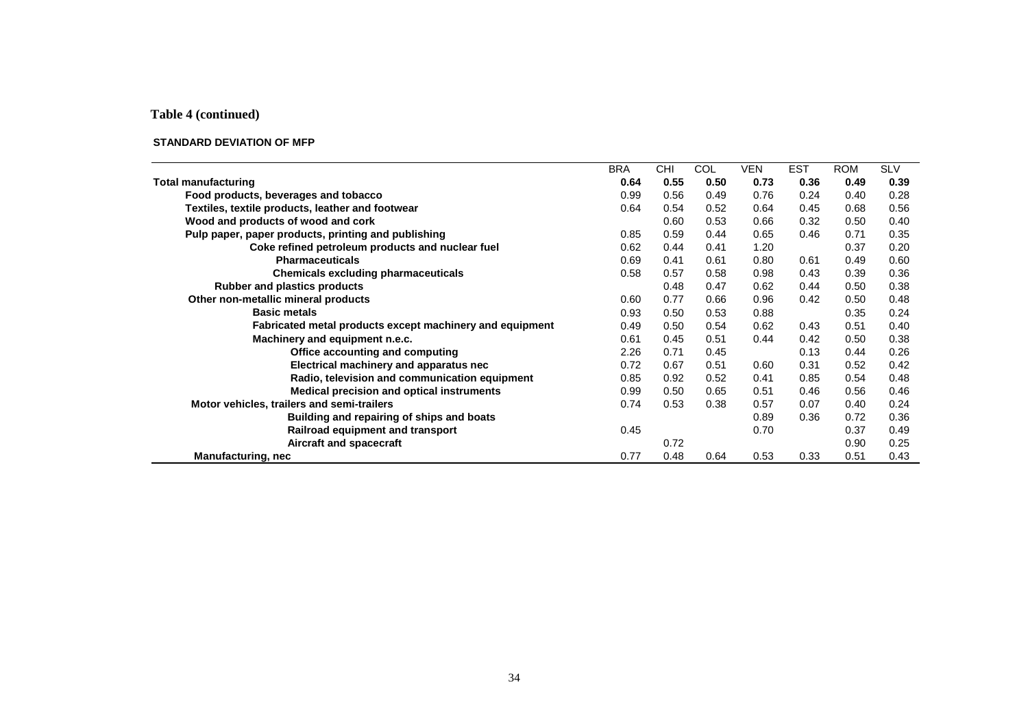## **Table 4 (continued)**

#### **STANDARD DEVIATION OF MFP**

|                                                          | <b>BRA</b> | <b>CHI</b> | COL  | <b>VEN</b> | <b>EST</b> | <b>ROM</b> | <b>SLV</b> |
|----------------------------------------------------------|------------|------------|------|------------|------------|------------|------------|
| <b>Total manufacturing</b>                               | 0.64       | 0.55       | 0.50 | 0.73       | 0.36       | 0.49       | 0.39       |
| Food products, beverages and tobacco                     | 0.99       | 0.56       | 0.49 | 0.76       | 0.24       | 0.40       | 0.28       |
| Textiles, textile products, leather and footwear         | 0.64       | 0.54       | 0.52 | 0.64       | 0.45       | 0.68       | 0.56       |
| Wood and products of wood and cork                       |            | 0.60       | 0.53 | 0.66       | 0.32       | 0.50       | 0.40       |
| Pulp paper, paper products, printing and publishing      | 0.85       | 0.59       | 0.44 | 0.65       | 0.46       | 0.71       | 0.35       |
| Coke refined petroleum products and nuclear fuel         | 0.62       | 0.44       | 0.41 | 1.20       |            | 0.37       | 0.20       |
| <b>Pharmaceuticals</b>                                   | 0.69       | 0.41       | 0.61 | 0.80       | 0.61       | 0.49       | 0.60       |
| <b>Chemicals excluding pharmaceuticals</b>               | 0.58       | 0.57       | 0.58 | 0.98       | 0.43       | 0.39       | 0.36       |
| <b>Rubber and plastics products</b>                      |            | 0.48       | 0.47 | 0.62       | 0.44       | 0.50       | 0.38       |
| Other non-metallic mineral products                      | 0.60       | 0.77       | 0.66 | 0.96       | 0.42       | 0.50       | 0.48       |
| <b>Basic metals</b>                                      | 0.93       | 0.50       | 0.53 | 0.88       |            | 0.35       | 0.24       |
| Fabricated metal products except machinery and equipment | 0.49       | 0.50       | 0.54 | 0.62       | 0.43       | 0.51       | 0.40       |
| Machinery and equipment n.e.c.                           | 0.61       | 0.45       | 0.51 | 0.44       | 0.42       | 0.50       | 0.38       |
| Office accounting and computing                          | 2.26       | 0.71       | 0.45 |            | 0.13       | 0.44       | 0.26       |
| Electrical machinery and apparatus nec                   | 0.72       | 0.67       | 0.51 | 0.60       | 0.31       | 0.52       | 0.42       |
| Radio, television and communication equipment            | 0.85       | 0.92       | 0.52 | 0.41       | 0.85       | 0.54       | 0.48       |
| <b>Medical precision and optical instruments</b>         | 0.99       | 0.50       | 0.65 | 0.51       | 0.46       | 0.56       | 0.46       |
| Motor vehicles, trailers and semi-trailers               | 0.74       | 0.53       | 0.38 | 0.57       | 0.07       | 0.40       | 0.24       |
| Building and repairing of ships and boats                |            |            |      | 0.89       | 0.36       | 0.72       | 0.36       |
| Railroad equipment and transport                         | 0.45       |            |      | 0.70       |            | 0.37       | 0.49       |
| Aircraft and spacecraft                                  |            | 0.72       |      |            |            | 0.90       | 0.25       |
| <b>Manufacturing, nec</b>                                | 0.77       | 0.48       | 0.64 | 0.53       | 0.33       | 0.51       | 0.43       |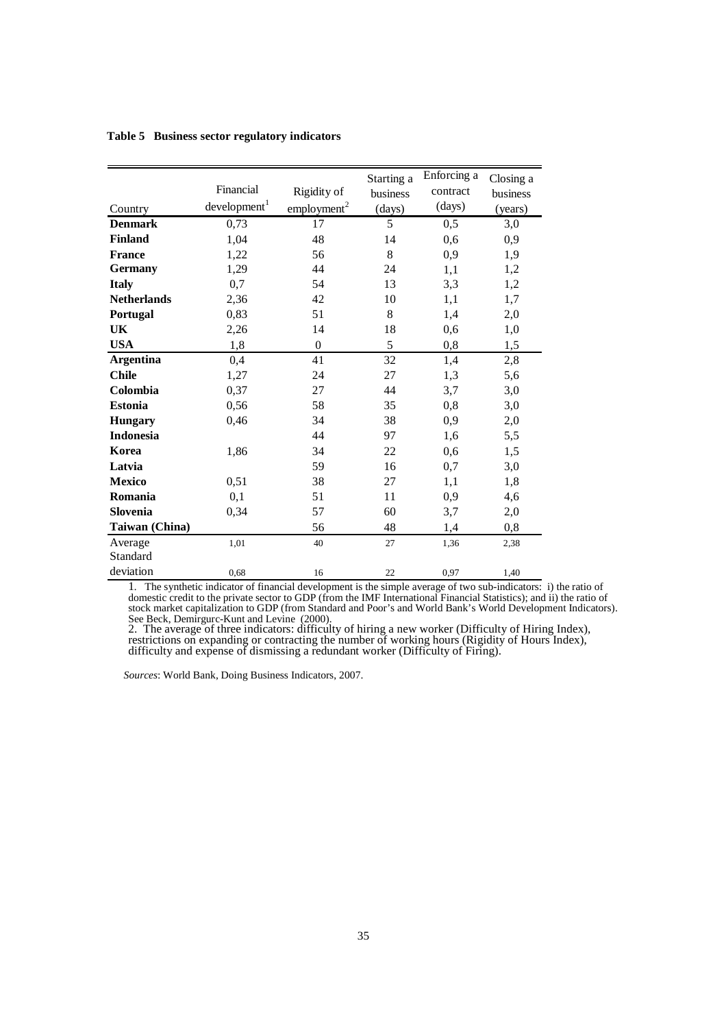|                    | Financial                |                         | Starting a | Enforcing a | Closing a |
|--------------------|--------------------------|-------------------------|------------|-------------|-----------|
|                    |                          | Rigidity of             | business   | contract    | business  |
| Country            | development <sup>1</sup> | employment <sup>2</sup> | (days)     | (days)      | (years)   |
| <b>Denmark</b>     | 0,73                     | 17                      | 5          | 0,5         | 3,0       |
| <b>Finland</b>     | 1,04                     | 48                      | 14         | 0,6         | 0,9       |
| <b>France</b>      | 1,22                     | 56                      | 8          | 0,9         | 1,9       |
| <b>Germany</b>     | 1,29                     | 44                      | 24         | 1,1         | 1,2       |
| <b>Italy</b>       | 0,7                      | 54                      | 13         | 3,3         | 1,2       |
| <b>Netherlands</b> | 2,36                     | 42                      | 10         | 1,1         | 1,7       |
| Portugal           | 0,83                     | 51                      | 8          | 1,4         | 2,0       |
| UK                 | 2,26                     | 14                      | 18         | 0,6         | 1,0       |
| <b>USA</b>         | 1,8                      | $\theta$                | 5          | 0,8         | 1,5       |
| <b>Argentina</b>   | 0,4                      | 41                      | 32         | 1,4         | 2,8       |
| <b>Chile</b>       | 1,27                     | 24                      | 27         | 1,3         | 5,6       |
| Colombia           | 0,37                     | 27                      | 44         | 3,7         | 3,0       |
| <b>Estonia</b>     | 0,56                     | 58                      | 35         | 0,8         | 3,0       |
| <b>Hungary</b>     | 0,46                     | 34                      | 38         | 0,9         | 2,0       |
| <b>Indonesia</b>   |                          | 44                      | 97         | 1,6         | 5,5       |
| Korea              | 1,86                     | 34                      | 22         | 0,6         | 1,5       |
| Latvia             |                          | 59                      | 16         | 0,7         | 3,0       |
| <b>Mexico</b>      | 0,51                     | 38                      | 27         | 1,1         | 1,8       |
| Romania            | 0,1                      | 51                      | 11         | 0,9         | 4,6       |
| Slovenia           | 0,34                     | 57                      | 60         | 3,7         | 2,0       |
| Taiwan (China)     |                          | 56                      | 48         | 1,4         | 0,8       |
| Average            | 1,01                     | 40                      | 27         | 1,36        | 2,38      |
| Standard           |                          |                         |            |             |           |
| deviation          | 0,68                     | 16                      | 22         | 0,97        | 1,40      |

**Table 5 Business sector regulatory indicators** 

1*.* The synthetic indicator of financial development is the simple average of two sub-indicators: i) the ratio of domestic credit to the private sector to GDP (from the IMF International Financial Statistics); and ii) the ratio of stock market capitalization to GDP (from Standard and Poor's and World Bank's World Development Indicators). See Beck, Demirgurc-Kunt and Levine (2000).

2. The average of three indicators: difficulty of hiring a new worker (Difficulty of Hiring Index), restrictions on expanding or contracting the number of working hours (Rigidity of Hours Index), difficulty and expense of dismissing a redundant worker (Difficulty of Firing).

*Sources*: World Bank, Doing Business Indicators, 2007.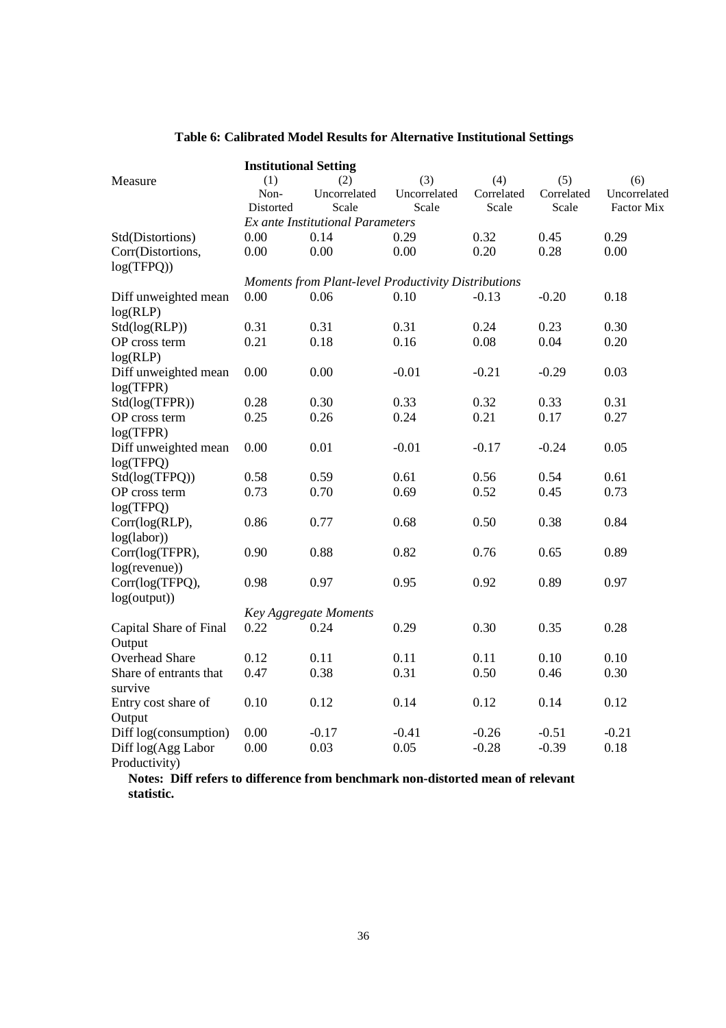|                                   | <b>Institutional Setting</b>                        |                                         |              |            |            |              |  |  |  |  |
|-----------------------------------|-----------------------------------------------------|-----------------------------------------|--------------|------------|------------|--------------|--|--|--|--|
| Measure                           | (1)                                                 | (2)                                     | (3)          | (4)        | (5)        | (6)          |  |  |  |  |
|                                   | Non-                                                | Uncorrelated                            | Uncorrelated | Correlated | Correlated | Uncorrelated |  |  |  |  |
|                                   | Distorted                                           | Scale                                   | Scale        | Scale      | Scale      | Factor Mix   |  |  |  |  |
|                                   |                                                     | <b>Ex ante Institutional Parameters</b> |              |            |            |              |  |  |  |  |
| Std(Distortions)                  | 0.00                                                | 0.14                                    | 0.29         | 0.32       | 0.45       | 0.29         |  |  |  |  |
| Corr(Distortions,                 | 0.00                                                | 0.00                                    | 0.00         | 0.20       | 0.28       | 0.00         |  |  |  |  |
| log(TFPQ))                        |                                                     |                                         |              |            |            |              |  |  |  |  |
|                                   | Moments from Plant-level Productivity Distributions |                                         |              |            |            |              |  |  |  |  |
| Diff unweighted mean              | 0.00                                                | 0.06                                    | 0.10         | $-0.13$    | $-0.20$    | 0.18         |  |  |  |  |
| log(RLP)                          |                                                     |                                         |              |            |            |              |  |  |  |  |
| Std(log(RLP))                     | 0.31                                                | 0.31                                    | 0.31         | 0.24       | 0.23       | 0.30         |  |  |  |  |
| OP cross term                     | 0.21                                                | 0.18                                    | 0.16         | 0.08       | 0.04       | 0.20         |  |  |  |  |
| log(RLP)                          |                                                     |                                         |              |            |            |              |  |  |  |  |
| Diff unweighted mean              | 0.00                                                | 0.00                                    | $-0.01$      | $-0.21$    | $-0.29$    | 0.03         |  |  |  |  |
| log(TFPR)                         |                                                     |                                         |              |            |            |              |  |  |  |  |
| Std(log(TFPR))                    | 0.28                                                | 0.30                                    | 0.33         | 0.32       | 0.33       | 0.31         |  |  |  |  |
| OP cross term                     | 0.25                                                | 0.26                                    | 0.24         | 0.21       | 0.17       | 0.27         |  |  |  |  |
| log(TFPR)                         |                                                     |                                         |              |            |            |              |  |  |  |  |
| Diff unweighted mean              | 0.00                                                | 0.01                                    | $-0.01$      | $-0.17$    | $-0.24$    | 0.05         |  |  |  |  |
| log(TFPQ)                         |                                                     |                                         |              |            |            |              |  |  |  |  |
| Std(log(TFPQ))                    | 0.58                                                | 0.59                                    | 0.61         | 0.56       | 0.54       | 0.61         |  |  |  |  |
| OP cross term                     | 0.73                                                | 0.70                                    | 0.69         | 0.52       | 0.45       | 0.73         |  |  |  |  |
| log(TFPQ)                         |                                                     |                                         |              |            |            |              |  |  |  |  |
| Corr(log(RLP),                    | 0.86                                                | 0.77                                    | 0.68         | 0.50       | 0.38       | 0.84         |  |  |  |  |
| log(labor))                       |                                                     |                                         |              |            |            |              |  |  |  |  |
| Corr(log(TFPR),                   | 0.90                                                | 0.88                                    | 0.82         | 0.76       | 0.65       | 0.89         |  |  |  |  |
| $log(revenue)$ )                  |                                                     |                                         |              |            |            |              |  |  |  |  |
| Corr(log(TFPQ),                   | 0.98                                                | 0.97                                    | 0.95         | 0.92       | 0.89       | 0.97         |  |  |  |  |
| log(output))                      |                                                     |                                         |              |            |            |              |  |  |  |  |
|                                   |                                                     | <b>Key Aggregate Moments</b>            |              |            |            |              |  |  |  |  |
| Capital Share of Final            | 0.22                                                | 0.24                                    | 0.29         | 0.30       | 0.35       | 0.28         |  |  |  |  |
| Output                            |                                                     |                                         |              |            |            |              |  |  |  |  |
| <b>Overhead Share</b>             | 0.12                                                | 0.11                                    | 0.11         | 0.11       | 0.10       | 0.10         |  |  |  |  |
|                                   |                                                     |                                         |              |            |            |              |  |  |  |  |
| Share of entrants that<br>survive | 0.47                                                | 0.38                                    | 0.31         | 0.50       | 0.46       | 0.30         |  |  |  |  |
| Entry cost share of               | 0.10                                                | 0.12                                    | 0.14         | 0.12       | 0.14       | 0.12         |  |  |  |  |
| Output                            |                                                     |                                         |              |            |            |              |  |  |  |  |
| Diff log(consumption)             | 0.00                                                | $-0.17$                                 | $-0.41$      | $-0.26$    | $-0.51$    | $-0.21$      |  |  |  |  |
| Diff log(Agg Labor                | 0.00                                                | 0.03                                    | 0.05         | $-0.28$    | $-0.39$    | 0.18         |  |  |  |  |
| Productivity)                     |                                                     |                                         |              |            |            |              |  |  |  |  |

# **Table 6: Calibrated Model Results for Alternative Institutional Settings**

**Notes: Diff refers to difference from benchmark non-distorted mean of relevant statistic.**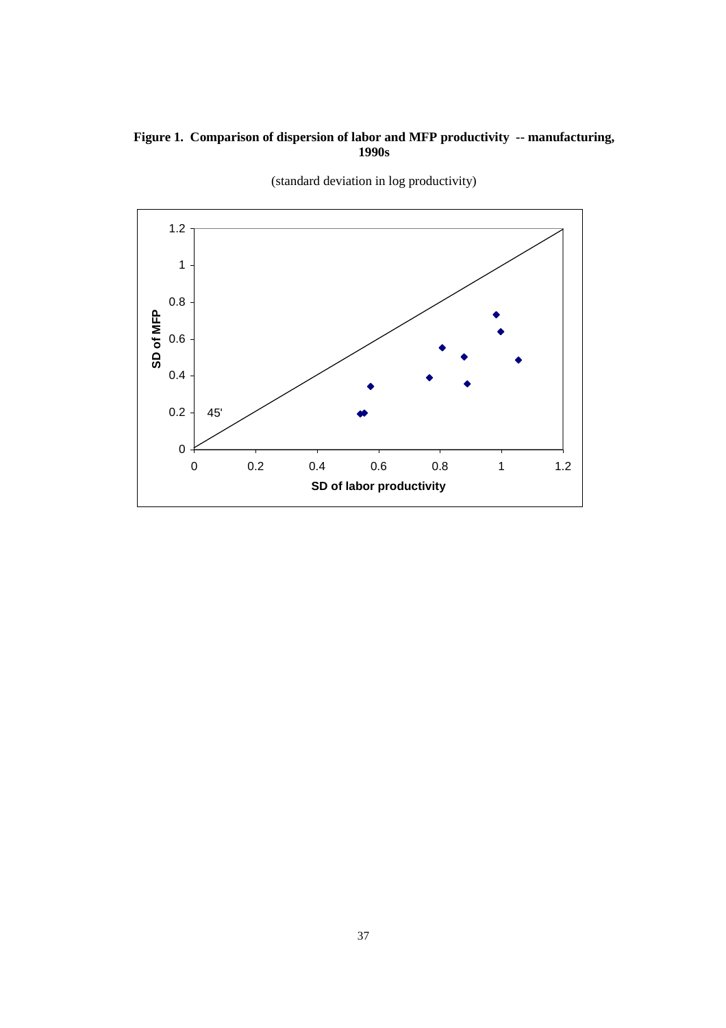# **Figure 1. Comparison of dispersion of labor and MFP productivity -- manufacturing, 1990s**



(standard deviation in log productivity)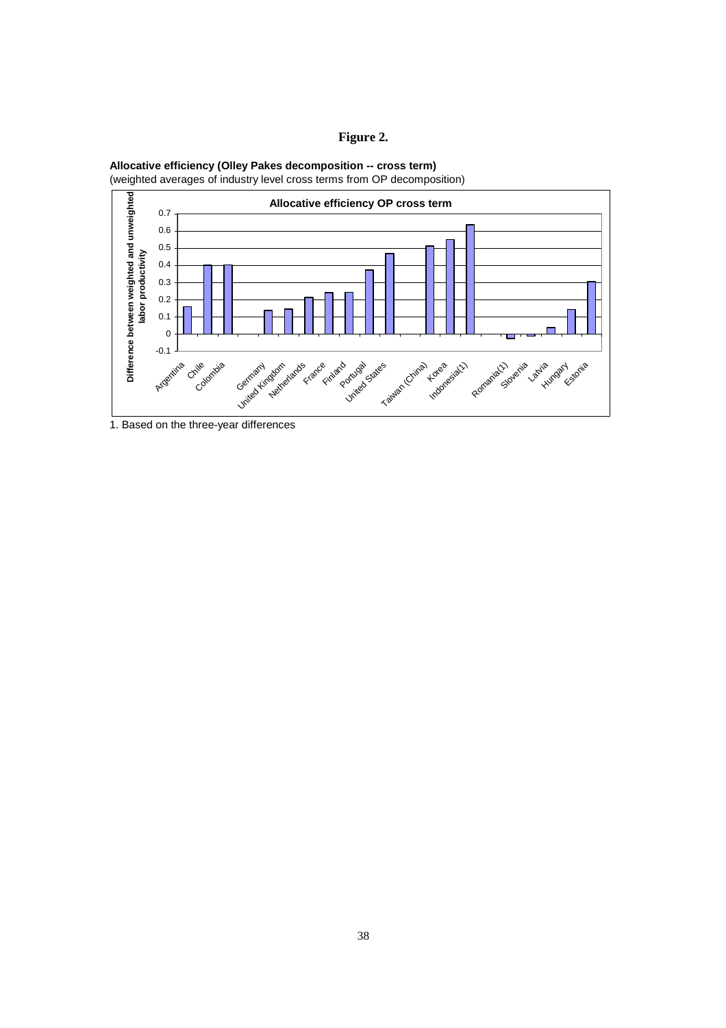# **Figure 2.**



(weighted averages of industry level cross terms from OP decomposition)



1. Based on the three-year differences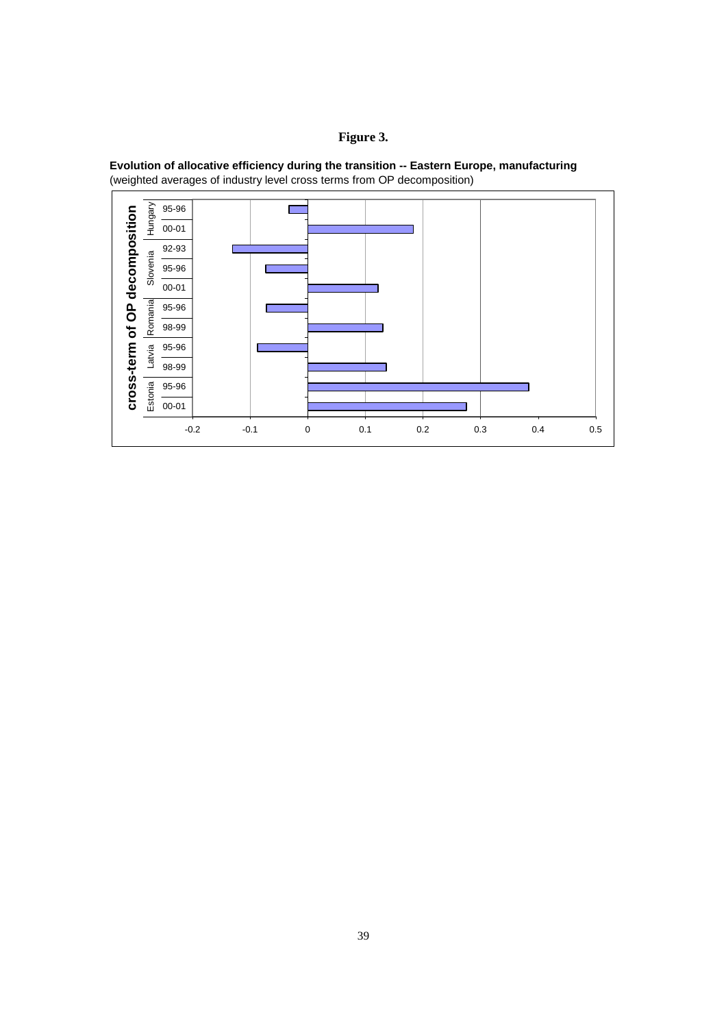## **Figure 3.**



**Evolution of allocative efficiency during the transition -- Eastern Europe, manufacturing** (weighted averages of industry level cross terms from OP decomposition)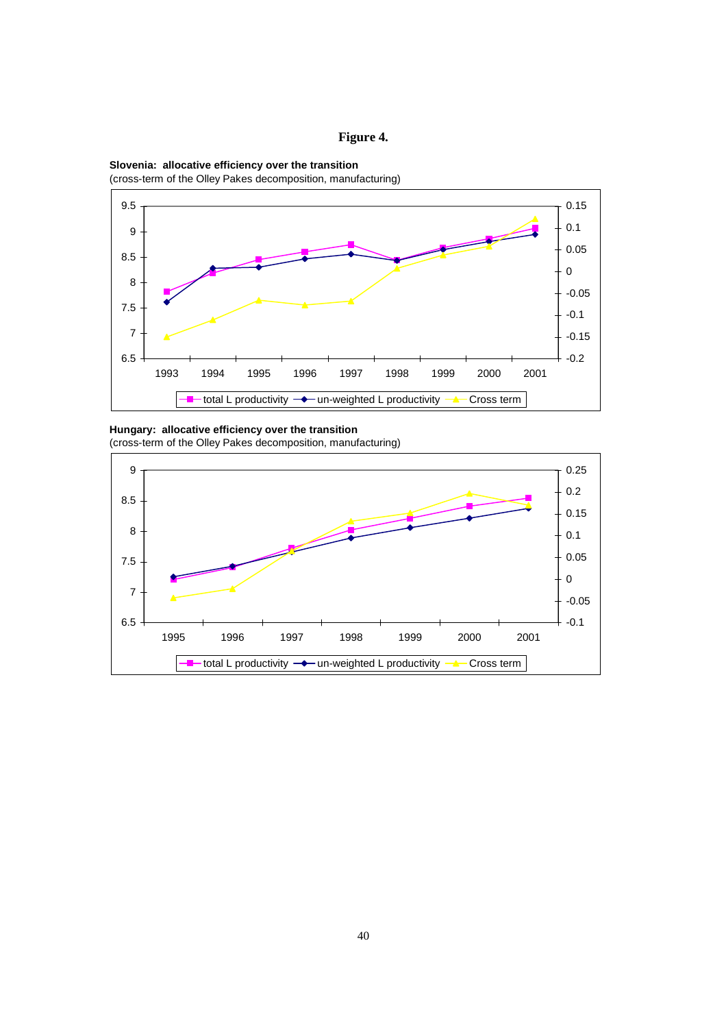





**Hungary: allocative efficiency over the transition**

(cross-term of the Olley Pakes decomposition, manufacturing)

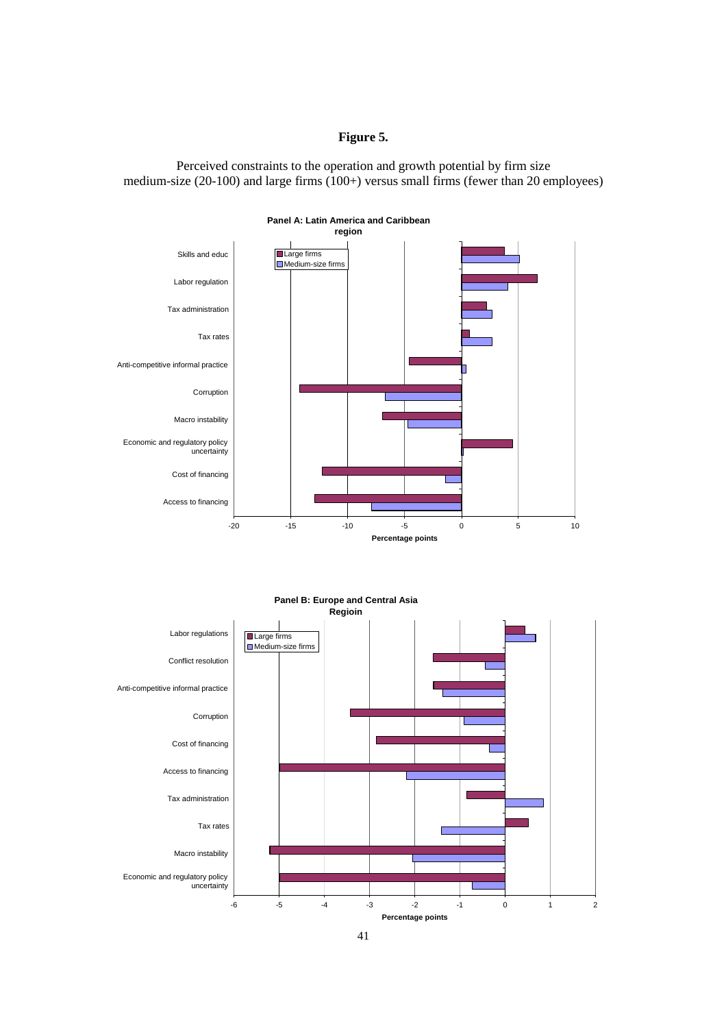## **Figure 5.**

Perceived constraints to the operation and growth potential by firm size medium-size (20-100) and large firms  $(100+)$  versus small firms (fewer than 20 employees)





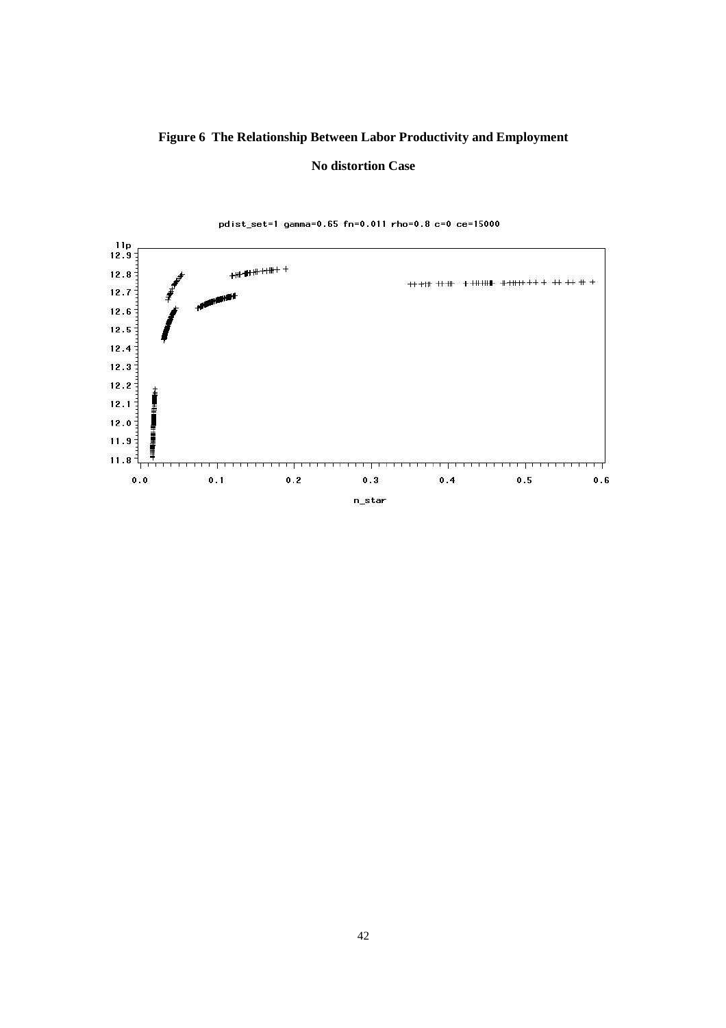# **Figure 6 The Relationship Between Labor Productivity and Employment**

#### **No distortion Case**

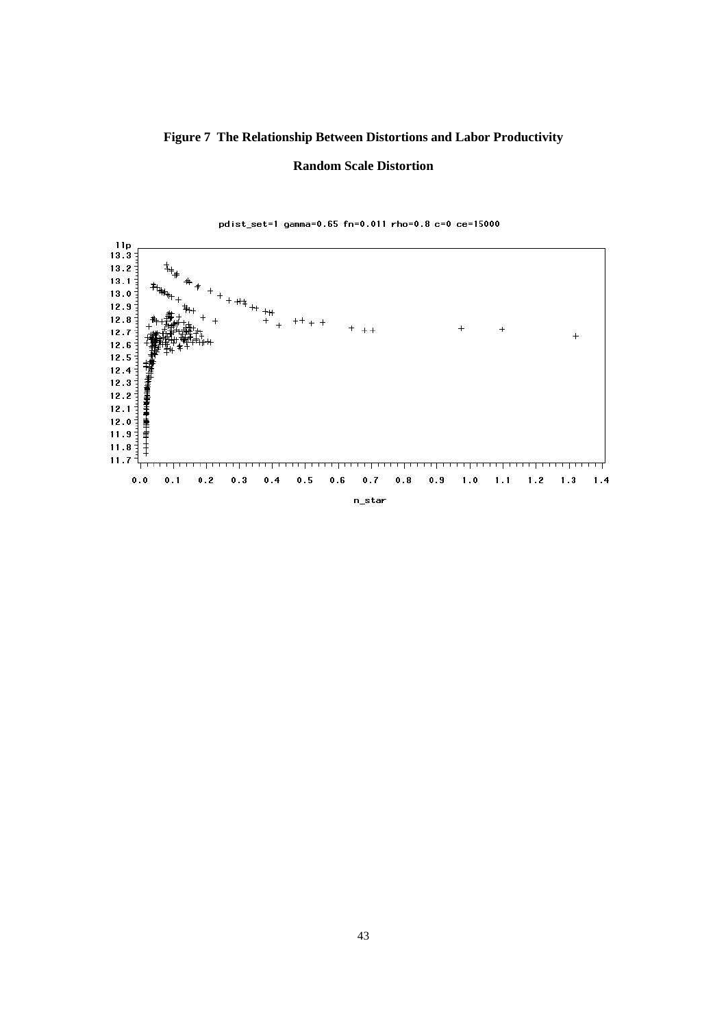## **Figure 7 The Relationship Between Distortions and Labor Productivity**

#### **Random Scale Distortion**

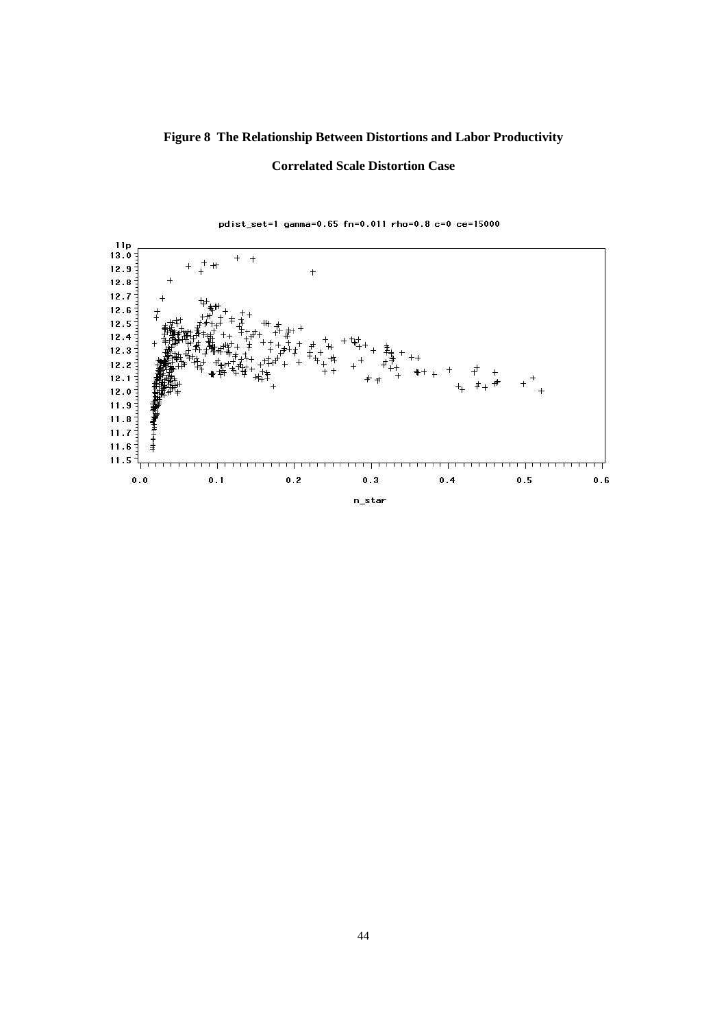# **Figure 8 The Relationship Between Distortions and Labor Productivity**

## **Correlated Scale Distortion Case**

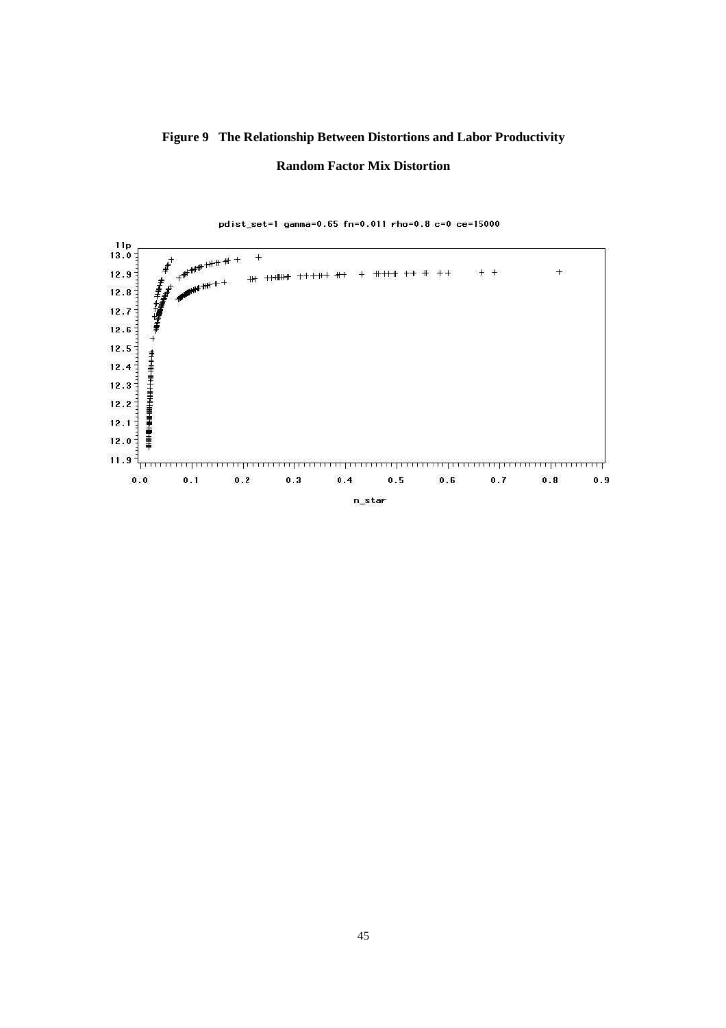# **Figure 9 The Relationship Between Distortions and Labor Productivity Random Factor Mix Distortion**